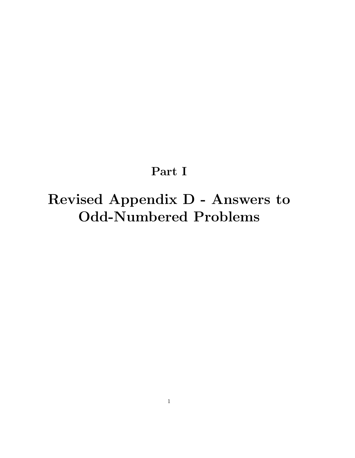## Part I

# Revised Appendix D - Answers to Odd-Numbered Problems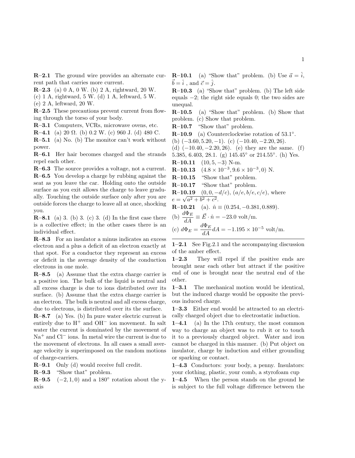R–2.1 The ground wire provides an alternate current path that carries more current.

R–2.3 (a) 0 A, 0 W. (b) 2 A, rightward, 20 W.

(c) 1 A, rightward, 5 W. (d) 1 A, leftward, 5 W.

(e) 2 A, leftward, 20 W.

R–2.5 These precautions prevent current from flowing through the torso of your body.

R–3.1 Computers, VCRs, microwave ovens, etc.

**R**–4.1 (a) 20  $\Omega$ . (b) 0.2 W. (c) 960 J. (d) 480 C.

R–5.1 (a) No. (b) The monitor can't work without power.

R–6.1 Her hair becomes charged and the strands repel each other.

R–6.3 The source provides a voltage, not a current. R–6.5 You develop a charge by rubbing against the seat as you leave the car. Holding onto the outside surface as you exit allows the charge to leave gradually. Touching the outside surface only after you are outside forces the charge to leave all at once, shocking you.

 $\mathbb{R}\text{-}8.1$  (a) 3. (b) 3. (c) 3. (d) In the first case there is a collective effect; in the other cases there is an individual effect.

R–8.3 For an insulator a minus indicates an excess electron and a plus a deficit of an electron exactly at that spot. For a conductor they represent an excess or deficit in the average density of the conduction electrons in one mole.

R–8.5 (a) Assume that the extra charge carrier is a positive ion. The bulk of the liquid is neutral and all excess charge is due to ions distributed over its surface. (b) Assume that the extra charge carrier is an electron. The bulk is neutral and all excess charge, due to electrons, is distributed over its the surface.

 $R-8.7$  (a) Yes. (b) In pure water electric current is entirely due to  $H^+$  and  $OH^-$  ion movement. In salt water the current is dominated by the movement of Na<sup>+</sup> and Cl<sup>−</sup> ions. In metal wire the current is due to the movement of electrons. In all cases a small average velocity is superimposed on the random motions of charge-carriers.

R–9.1 Only (d) would receive full credit.

R–9.3 "Show that" problem.

**R**–9.5 ( $-2$ , 1, 0) and a 180 $\degree$  rotation about the yaxis

**R**–10.1 (a) "Show that" problem. (b) Use  $\vec{a} = \hat{i}$ ,  $\vec{b} = \hat{i}$ , and  $\vec{c} = \hat{j}$ .

R–10.3 (a) "Show that" problem. (b) The left side equals −2; the right side equals 0; the two sides are unequal.

R–10.5 (a) "Show that" problem. (b) Show that problem. (c) Show that problem.

R–10.7 "Show that" problem.

 $R-10.9$  (a) Counterclockwise rotation of 53.1°.

(b)  $(-3.60, 5.20, -1)$ . (c)  $(-10.40, -2.20, 26)$ .

(d)  $(-10.40, -2.20, 26)$ . (e) they are the same. (f)

5.385, 6.403, 28.1. (g) 145.45° or 214.55°. (h) Yes.

R–10.11  $(10, 5, -3)$  N-m.

**R**–10.13  $(4.8 \times 10^{-3}, 9.6 \times 10^{-3}, 0)$  N.

R–10.15 "Show that" problem.

R–10.17 "Show that" problem.

**R-10.19** 
$$
(0, 0, -d/c)
$$
,  $(a/e, b/e, c/e)$ , where  $e = \sqrt{a^2 + b^2 + c^2}$ .

$$
R=10.21
$$
 (a)  $\hat{p} = (0.254 - 0.381, 0.889)$ 

$$
u = (0.254, -0.381, 0.889).
$$
  

$$
d\Phi_E = 10.254, -0.381, 0.889.
$$

(b) 
$$
\frac{d\Phi_E}{dA} \equiv \vec{E} \cdot \hat{n} = -23.0 \text{ volt/m}.
$$
  
(c) 
$$
d\Phi_E = \frac{d\Phi_E}{dA} dA = -1.195 \times 10^{-5} \text{ volt/m}.
$$

1–2.1 See Fig.2.1 and the accompanying discussion of the amber effect.

1–2.3 They will repel if the positive ends are brought near each other but attract if the positive end of one is brought near the neutral end of the other.

1–3.1 The mechanical motion would be identical, but the induced charge would be opposite the previous induced charge.

1–3.3 Either end would be attracted to an electrically charged object due to electrostatic induction.

 $1-4.1$  (a) In the 17th century, the most common way to charge an object was to rub it or to touch it to a previously charged object. Water and iron cannot be charged in this manner. (b) Put object on insulator, charge by induction and either grounding or sparking or contact.

1–4.3 Conductors: your body, a penny. Insulators: your clothing, plastic, your comb, a styrofoam cup

1–4.5 When the person stands on the ground he is subject to the full voltage difference between the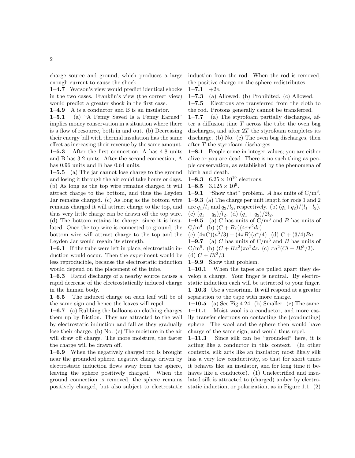charge source and ground, which produces a large enough current to cause the shock.

1–4.7 Watson's view would predict identical shocks in the two cases. Franklin's view (the correct view) would predict a greater shock in the first case.

1–4.9 A is a conductor and B is an insulator.

1–5.1 (a) "A Penny Saved Is a Penny Earned" implies money conservation in a situation where there is a flow of resource, both in and out. (b) Decreasing their energy bill with thermal insulation has the same effect as increasing their revenue by the same amount. 1–5.3 After the first connection, A has 4.8 units and B has 3.2 units. After the second connection, A has 0.96 units and B has 0.64 units.

1–5.5 (a) The jar cannot lose charge to the ground and losing it through the air could take hours or days. (b) As long as the top wire remains charged it will attract charge to the bottom, and thus the Leyden Jar remains charged. (c) As long as the bottom wire remains charged it will attract charge to the top, and thus very little charge can be drawn off the top wire. (d) The bottom retains its charge, since it is insulated. Once the top wire is connected to ground, the bottom wire will attract charge to the top and the Leyden Jar would regain its strength.

1–6.1 If the tube were left in place, electrostatic induction would occur. Then the experiment would be less reproducible, because the electrostatic induction would depend on the placement of the tube.

1–6.3 Rapid discharge of a nearby source causes a rapid decrease of the electrostatically induced charge in the human body.

1–6.5 The induced charge on each leaf will be of the same sign and hence the leaves will repel.

**1–6.7** (a) Rubbing the balloons on clothing charges them up by friction. They are attracted to the wall by electrostatic induction and fall as they gradually lose their charge. (b) No. (c) The moisture in the air will draw off charge. The more moisture, the faster the charge will be drawn off.

1–6.9 When the negatively charged rod is brought near the grounded sphere, negative charge driven by electrostatic induction flows away from the sphere, leaving the sphere positively charged. When the ground connection is removed, the sphere remains positively charged, but also subject to electrostatic induction from the rod. When the rod is removed, the positive charge on the sphere redistributes.

 $1-7.1$  +2e.

1–7.3 (a) Allowed. (b) Prohibited. (c) Allowed.

1–7.5 Electrons are transferred from the cloth to the rod. Protons generally cannot be transferred.

1–7.7 (a) The styrofoam partially discharges, after a diffusion time  $T$  across the tube the oven bag discharges, and after 2T the styrofoam completes its discharge. (b) No. (c) The oven bag discharges, then after T the styrofoam discharges.

1–8.1 People come in integer values; you are either alive or you are dead. There is no such thing as people conservation, as established by the phenomena of birth and death.

**1–8.3**  $6.25 \times 10^{19}$  electrons.

1–8.5  $3.125 \times 10^9$ .

**1–9.1** "Show that" problem. A has units of  $C/m^3$ . 1–9.3 (a) The charge per unit length for rods 1 and 2 are  $q_1/l_1$  and  $q_2/l_2$ , respectively. (b)  $(q_1+q_2)/(l_1+l_2)$ . (c)  $(q_1 + q_2)/l_2$ . (d)  $(q_1 + q_2)/2l_2$ .

**1–9.5** (a) C has units of  $C/m^3$  and B has units of C/m<sup>4</sup>. (b)  $(C + Br)(4\pi r^2 dr)$ .

(c)  $(4\pi C)(a^3/3) + (4\pi B)(a^4/4)$ . (d)  $C + (3/4)Ba$ .

**1–9.7** (a) C has units of  $C/m^3$  and B has units of C/m<sup>5</sup>. (b)  $(C + Bz^2)\pi a^2 dz$ . (c)  $\pi a^2 (Cl + Bl^3/3)$ . (d)  $C + Bl^2/3$ .

1–9.9 Show that problem.

1–10.1 When the tapes are pulled apart they develop a charge. Your finger is neutral. By electrostatic induction each will be attracted to your finger. 1–10.3 Use a versorium. It will respond at a greater separation to the tape with more charge.

1–10.5 (a) See Fig.4.24. (b) Smaller. (c) The same. 1–11.1 Moist wool is a conductor, and more easily transfer electrons on contacting the (conducting) sphere. The wool and the sphere then would have charge of the same sign, and would thus repel.

1–11.3 Since silk can be "grounded" here, it is acting like a conductor in this context. (In other contexts, silk acts like an insulator; most likely silk has a very low conductivity, so that for short times it behaves like an insulator, and for long time it behaves like a conductor). (1) Unelectrified and insulated silk is attracted to (charged) amber by electrostatic induction, or polarization, as in Figure 1.1. (2)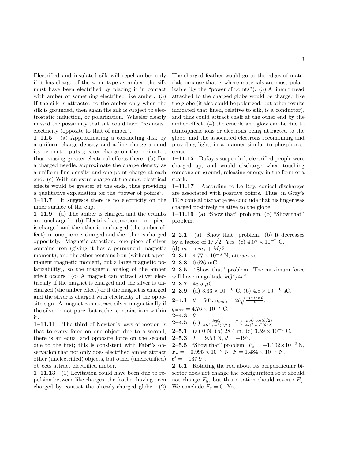Electrified and insulated silk will repel amber only if it has charge of the same type as amber; the silk must have been electrified by placing it in contact with amber or something electrified like amber. (3) If the silk is attracted to the amber only when the silk is grounded, then again the silk is subject to electrostatic induction, or polarization. Wheeler clearly missed the possibility that silk could have "resinous" electricity (opposite to that of amber).

1–11.5 (a) Approximating a conducting disk by a uniform charge density and a line charge around its perimeter puts greater charge on the perimeter, thus causing greater electrical effects there. (b) For a charged needle, approximate the charge density as a uniform line density and one point charge at each end. (c) With an extra charge at the ends, electrical effects would be greater at the ends, thus providing a qualitative explanation for the "power of points". 1–11.7 It suggests there is no electricity on the inner surface of the cup.

1–11.9 (a) The amber is charged and the crumbs are uncharged. (b) Electrical attraction: one piece is charged and the other is uncharged (the amber effect), or one piece is charged and the other is charged oppositely. Magnetic atraction: one piece of silver contains iron (giving it has a permanent magnetic moment), and the other contains iron (without a permanent magnetic moment, but a large magnetic polarizability), so the magnetic analog of the amber effect occurs. (c) A magnet can attract silver electrically if the magnet is charged and the silver is uncharged (the amber effect) or if the magnet is charged and the silver is charged with electricity of the opposite sign. A magnet can attract silver magnetically if the silver is not pure, but rather contains iron within it.

1–11.11 The third of Newton's laws of motion is that to every force on one object due to a second, there is an equal and opposite force on the second due to the first; this is consistent with Fabri's observation that not only does electrified amber attract other (unelectrified) objects, but other (unelectrified) objects attract electrified amber.

1–11.13 (1) Levitation could have been due to repulsion between like charges, the feather having been charged by contact the already-charged globe. (2)

The charged feather would go to the edges of materials because that is where materials are most polarizable (by the "power of points"). (3) A linen thread attached to the charged globe would be charged like the globe (it also could be polarized, but other results indicated that linen, relative to silk, is a conductor), and thus could attract chaff at the other end by the amber effect. (4) the crackle and glow can be due to atmospheric ions or electrons being attracted to the globe, and the associated electrons recombining and providing light, in a manner similar to phosphorescence.

1–11.15 Dufay's suspended, electrified people were charged up, and would discharge when touching someone on ground, releasing energy in the form of a spark.

1–11.17 According to Le Roy, conical discharges are associated with positive points. Thus, in Gray's 1708 conical discharge we conclude that his finger was charged positively relative to the globe.

1–11.19 (a) "Show that" problem. (b) "Show that" problem.

**2–2.1** (a) "Show that" problem. (b) It decreases by a factor of  $1/\sqrt{2}$ . Yes. (c)  $4.07 \times 10^{-7}$  C. (d)  $m_1 \to m_1 + M/2$ . **2–3.1**  $4.77 \times 10^{-6}$  N, attractive  $2-3.3$  0.626 mC 2–3.5 "Show that" problem. The maximum force will have magnitude  $kQ^2/4r^2$ . 2–3.7 48.5  $\mu$ C. **2–3.9** (a)  $3.33 \times 10^{-10}$  C. (b)  $4.8 \times 10^{-10}$  sC.  $\pmb{2\!\!-\!\!4.1}\quad \theta=60^\circ,\, q_{max}=2l\sqrt{\frac{mg\tan\theta}{k}},$  $q_{max} = 4.76 \times 10^{-7}$  C.  $2 - 4.3$   $\theta$ . **2–4.5** (a)  $\frac{kqQ}{4R^2\sin^2(\theta/2)}$ . (b)  $\frac{kqQ\cos(\theta/2)}{4R^2\sin^2(\theta/2)}$ . **2–5.1** (a) 0 N. (b) 28.4 m. (c)  $3.59 \times 10^{-6}$  C. **2–5.3**  $F = 9.53$  N,  $\theta = -19^\circ$ . **2–5.5** "Show that" problem.  $F_x = -1.102 \times 10^{-6}$  N,  $F_y = -0.995 \times 10^{-6}$  N,  $F = 1.484 \times 10^{-6}$  N,  $\theta' = -137.9^{\circ}.$ 2–6.1 Rotating the rod about its perpendicular bi-

sector does not change the configuration so it should not change  $F_y$ , but this rotation should reverse  $F_y$ . We conclude  $F_y = 0$ . Yes.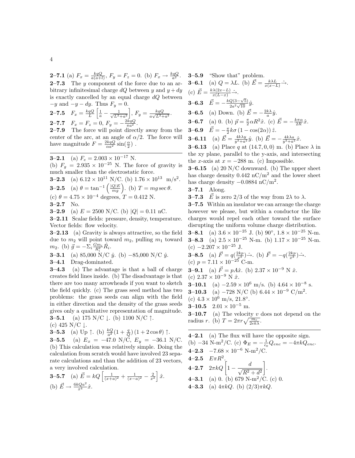**2–7.1** (a)  $F_x = \frac{kqQ}{a(a+l)}, F_y = F_z = 0.$  (b)  $F_x \to \frac{kqQ}{a^2}$ . **2–7.3** The y component of the force due to an arbitrary infinitesimal charge dQ between y and  $y + dy$ is exactly cancelled by an equal charge  $dQ$  between  $-y$  and  $-y - dy$ . Thus  $F_y = 0$ .

**2-7.5** 
$$
F_x = \frac{kqQ}{L} \left[ \frac{1}{a} - \frac{1}{\sqrt{L^2 + a^2}} \right], F_y = \frac{kqQ}{a\sqrt{L^2 + a^2}}.
$$
  
**2-7.7**  $F_x = F_z = 0, F_y = -\frac{2kqQ}{\pi a^2}.$ 

2–7.9 The force will point directly away from the center of the arc, at an angle of  $\alpha/2$ . The force will have magnitude  $F = \frac{2kqQ}{\alpha a^2} \sin(\frac{\alpha}{2})$ .

**3–2.1** (a)  $F_e = 2.003 \times 10^{-17}$  N.

(b)  $F_g = 2.935 \times 10^{-25}$  N. The force of gravity is much smaller than the electrostatic force.

**3–2.3** (a)  $6.12 \times 10^{11}$  N/C. (b)  $1.76 \times 10^{13}$  m/s<sup>2</sup>.

**3-2.5** (a) 
$$
\theta = \tan^{-1}\left(\frac{|Q|E}{mg}\right)
$$
. (b)  $T = mg \sec \theta$ .

(c)  $\theta = 4.75 \times 10^{-4}$  degrees,  $T = 0.412$  N.

$$
3-2.7 \quad \text{No.}
$$

**3–2.9** (a)  $E = 2500$  N/C. (b)  $|Q| = 0.11$  nC.

3–2.11 Scalar fields: pressure, density, temperature. Vector fields: flow velocity.

3–2.13 (a) Gravity is always attractive, so the field due to  $m_2$  will point toward  $m_2$ , pulling  $m_1$  toward  $m_2$ . (b)  $\vec{g} = -\sum_i \frac{Gm_i}{R_i^2} \hat{R}_i$ .

**3–3.1** (a) 85,000 N/C  $\hat{u}$ . (b) −85,000 N/C  $\hat{u}$ .

3–4.1 Drag-dominated.

3–4.3 (a) The advantage is that a ball of charge creates field lines inside. (b) The disadvantage is that there are too many arrowheads if you want to sketch the field quickly. (c) The grass seed method has two problems: the grass seeds can align with the field in either direction and the density of the grass seeds gives only a qualitative representation of magnitude. **3–5.1** (a) 175 N/C  $\downarrow$ . (b) 1100 N/C  $\uparrow$ .

(c) 425 N/C  $\downarrow$ .

**3-5.3** (a) Up 
$$
\uparrow
$$
. (b)  $\frac{kQ}{a^2}(1+\frac{q}{Q})(1+2\cos\theta)\uparrow$ .

**3–5.5** (a)  $E_x = -47.0 \text{ N/C}, E_y = -36.1 \text{ N/C}.$ (b) This calculation was relatively simple. Doing the calculation from scratch would have involved 23 separate calculations and than the addition of 23 vectors, a very involved calculation.

**3-5.7** (a) 
$$
\vec{E} = kQ \left[ \frac{1}{(x+a)^2} + \frac{1}{(x-a)^2} - \frac{2}{x^2} \right] \hat{x}.
$$
  
(b)  $\vec{E} \rightarrow \frac{6kQa^2}{x^4} \hat{x}.$ 

\n- **3-5.9** "Show that" problem.
\n- **3-6.1** (a) 
$$
Q = \lambda L
$$
. (b)  $\vec{E} = \frac{k\lambda L}{x(x-L)} \rightarrow$
\n- (c)  $\vec{E} = \frac{k\lambda(2x-L)}{x(L-x)} \rightarrow$
\n- **3-6.3**  $\vec{E} = -\frac{kQ(3-\sqrt{5})}{2a^2\sqrt{10}}\hat{y}$ .
\n- **3-6.5** (a) Down. (b)  $\vec{E} = -\frac{2k\lambda}{a}\hat{y}$ .
\n- **3-6.7** (a) 0. (b)  $\vec{p} = \frac{\pi}{2}\alpha R^2 \hat{x}$ . (c)  $\vec{E} = -\frac{k\pi\alpha}{2R}\hat{x}$ .
\n- **3-6.9**  $\vec{E} = -\frac{\pi}{2}k\sigma(1 - \cos(2\alpha))\hat{z}$ .
\n- **3-6.11** (a)  $\vec{E} = \frac{4k\lambda y}{y^2 + a^2}\hat{y}$ . (b)  $\vec{E} = -\frac{4k\lambda a}{y^2 + a^2}\hat{x}$ .
\n- **3-6.13** (a) Place  $q$  at  $(14.7, 0, 0)$  m. (b) Place  $\lambda$  in the xy plane, parallel to the y-axis, and intersecting
\n

the x-axis at  $x = -288$  m. (c) Impossible. **3–6.15** (a) 20 N/C downward. (b) The upper sheet has charge density  $0.442 \text{ nC/m}^2$  and the lower sheet has charge density  $-0.0884$  nC/m<sup>2</sup>.

3–7.1 Along.

**3–7.3**  $\vec{E}$  is zero 2/3 of the way from 2 $\lambda$  to  $\lambda$ .

3–7.5 Within an insulator we can arrange the charge however we please, but within a conductor the like charges would repel each other toward the surface disrupting the uniform volume charge distribution.

**3–8.1** (a)  $3.6 \times 10^{-25}$  J. (b)  $90^{\circ}$ ,  $1.8 \times 10^{-25}$  N-m. **3–8.3** (a)  $2.5 \times 10^{-25}$  N-m. (b)  $1.17 \times 10^{-25}$  N-m. (c)  $-2.207 \times 10^{-25}$  J.

**3-8.5** (a) 
$$
\vec{F} = q(\frac{2kp}{x^3}) \rightarrow
$$
. (b)  $\vec{F} = -q(\frac{2kp}{x^3}) \rightarrow$ .  
\n(c)  $p = 7.11 \times 10^{-25}$  C-m.  
\n**3-9.1** (a)  $\vec{F} = pA\hat{x}$ . (b)  $2.37 \times 10^{-9}$  N  $\hat{x}$ .  
\n(c)  $2.37 \times 10^{-9}$  N  $\hat{x}$ .

**3–10.1** (a)  $-2.59 \times 10^6$  m/s. (b)  $4.64 \times 10^{-8}$  s.

**3–10.3** (a) –728 N/C (b)  $6.44 \times 10^{-9}$  C/m<sup>2</sup>.

(c)  $4.3 \times 10^6$  m/s,  $21.8^\circ$ .

3–10.5  $2.01 \times 10^{-5}$  m.

**3–10.7** (a) The velocity  $v$  does not depend on the radius r. (b)  $T = 2\pi r \sqrt{\frac{m_e}{2ek\lambda}}$ .

 $4-2.1$  (a) The flux will have the opposite sign. (b)  $-34 \text{ N-m}^2/\text{C}$ . (c)  $\Phi_E = -\frac{1}{\epsilon_0} Q_{enc} = -4\pi k Q_{enc}$ . 4–2.3  $-7.68 \times 10^{-6}$  N-m<sup>2</sup>/C. 4–2.5  $E \pi R^2$ . **4–2.7**  $2\pi kQ\left[1-\frac{d}{\sqrt{R^2+d^2}}\right]$  . 4–3.1 (a) 0. (b) 679 N-m<sup>2</sup>/C. (c) 0. 4–3.3 (a)  $4\pi kQ$ . (b)  $(2/3)\pi kQ$ .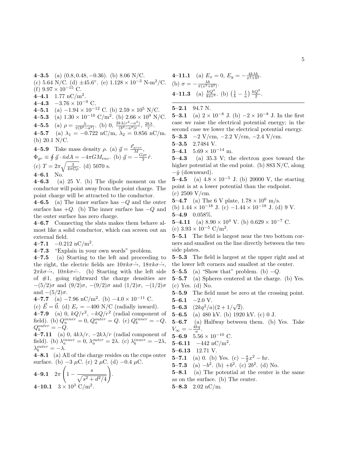4–3.5 (a)  $(0.8, 0.48, -0.36)$ . (b) 8.06 N/C. (c) 5.64 N/C. (d)  $\pm 45.6^{\circ}$ . (e)  $1.128 \times 10^{-3}$  N-m<sup>2</sup>/C. (f)  $9.97 \times 10^{-15}$  C. 4–4.1 1.77 nC/m<sup>2</sup>. 4–4.3  $-3.76 \times 10^{-9}$  C. 4–5.1 (a)  $-1.94 \times 10^{-12}$  C. (b)  $2.59 \times 10^5$  N/C. 4–5.3 (a)  $1.30 \times 10^{-10} \text{ C/m}^2$ . (b)  $2.66 \times 10^9 \text{ N/C}$ . **4–5.5** (a)  $\rho = \frac{\lambda}{\pi (b^2 - a^2)}$ . (b) 0,  $\frac{2k\lambda (r^2 - a^2)}{(b^2 - a^2)r}$  $\frac{k\lambda(r^2-a^2)}{(b^2-a^2)r}$ ,  $\frac{2k\lambda}{r}$ . 4–5.7 (a)  $\lambda_1 = -0.722$  nC/m,  $\lambda_2 = 0.856$  nC/m. (b) 20.1 N/C. **4-5.9** Take mass density  $\rho$ . (a)  $\vec{g} = \frac{\vec{F}_{grav}}{M}$ ,

 $\Phi_{gr} \equiv \oint \vec{g} \cdot \hat{n} dA = -4\pi GM_{enc}$ . (b)  $\vec{g} = -\frac{G\rho r}{3}\hat{r}$ . (c)  $T = 2\pi \sqrt{\frac{3}{4\pi G\rho}}$ . (d) 5070 s. 4–6.1 No.

 $4-6.3$  (a) 25 V. (b) The dipole moment on the conductor will point away from the point charge. The point charge will be attracted to the conductor.

4–6.5 (a) The inner surface has  $-Q$  and the outer surface has  $+Q$ . (b) The inner surface has  $-Q$  and the outer surface has zero charge.

4–6.7 Connecting the slats makes them behave almost like a solid conductor, which can screen out an external field.

 $4-7.1$   $-0.212 \text{ nC/m}^2$ .

4–7.3 "Explain in your own words" problem.

4–7.5 (a) Starting to the left and proceeding to the right, the electric fields are  $10\pi k\sigma\hat{\rightarrow}$ ,  $18\pi k\sigma\hat{\rightarrow}$ ,  $2\pi k\sigma \hat{\rightarrow}$ ,  $10\pi k\sigma \hat{\leftarrow}$ . (b) Starting with the left side of  $#1$ , going rightward the charge densities are  $-(5/2)$ σ and  $(9/2)$ σ,  $-(9/2)$ σ and  $(1/2)$ σ,  $-(1/2)$ σ and  $-(5/2)\sigma$ .

4–7.7 (a) −7.96 nC/m<sup>2</sup> . (b) −4.0 × 10<sup>−</sup><sup>11</sup> C.

(c)  $E = 0$ . (d)  $E_r = -400$  N/C (radially inward).

**4–7.9** (a) 0,  $kQ/r^2$ ,  $-kQ/r^2$  (radial component of field). (b)  $Q_a^{inner} = 0$ ,  $Q_a^{outer} = Q$ . (c)  $Q_b^{inner} = -Q$ ,  $Q_b^{outer} = -Q.$ 

4–7.11 (a) 0,  $4k\lambda/r$ ,  $-2k\lambda/r$  (radial component of field). (b)  $\lambda_a^{inner} = 0$ ,  $\lambda_a^{outer} = 2\lambda$ . (c)  $\lambda_b^{inner} = -2\lambda$ ,  $\lambda_b^{outer} = -\lambda.$ 

 $4-8.1$  (a) All of the charge resides on the cups outer surface. (b)  $-3 \mu$ C. (c) 2  $\mu$ C. (d)  $-0.4 \mu$ C.

4-9.1 
$$
2\pi \left(1 - \frac{s}{\sqrt{s^2 + d^2/4}}\right)
$$
.  
4-10.1  $3 \times 10^3$  C/m<sup>2</sup>.

**4-11.1** (a) 
$$
E_x = 0
$$
,  $E_y = -\frac{4k\lambda b}{x^2 + b^2}$ .  
\n(b)  $\sigma = -\frac{\lambda b}{\pi(x^2 + b^2)}$ .  
\n**4-11.3** (a)  $\frac{kQ^2}{8\pi r^4}$ . (b)  $\left(\frac{1}{b} - \frac{1}{a}\right) \frac{kQ^2}{2}$ .

5–2.1 94.7 N.

**5–3.1** (a)  $2 \times 10^{-8}$  J. (b)  $-2 \times 10^{-8}$  J. In the first case we raise the electrical potential energy; in the second case we lower the electrical potential energy.

5–3.3  $-2$  V/cm,  $-2.2$  V/cm,  $-2.4$  V/cm.

5–3.5 2.7484 V.

5–4.1  $5.69 \times 10^{-14}$  m.

 $5-4.3$  (a) 35.3 V; the electron goes toward the higher potential at the end point. (b) 883 N/C, along  $-\hat{y}$  (downward).

5–4.5 (a)  $4.8 \times 10^{-5}$  J. (b) 20000 V, the starting point is at a lower potential than the endpoint. (c) 2500 V/cm.

5–4.7 (a) The 6 V plate,  $1.78 \times 10^6$  m/s.

(b)  $1.44 \times 10^{-18}$  J. (c)  $-1.44 \times 10^{-18}$  J. (d) 9 V. 5–4.9 0.058%.

5–4.11 (a)  $8.90 \times 10^4$  V. (b)  $0.629 \times 10^{-7}$  C. (c)  $3.93 \times 10^{-5}$  C/m<sup>2</sup>.

5–5.1 The field is largest near the two bottom corners and smallest on the line directly between the two side plates.

5–5.3 The field is largest at the upper right and at the lower left corners and smallest at the center.

5–5.5 (a) "Show that" problem. (b)  $-Q$ .

5–5.7 (a) Spheres centered at the charge. (b) Yes. (c) Yes. (d) No.

5–5.9 The field must be zero at the crossing point.  $5-6.1$  -2.0 V.

**5–6.3**  $(2kq^2/a)(2+1/\sqrt{3})$ 2).

5–6.5 (a) 480 kV. (b) 1920 kV. (c) 0 J.

5–6.7 (a) Halfway between them. (b) Yes. Take  $V_{\infty} = -\frac{4kq}{a}.$ 

5–6.9 5.56  $\times$  10<sup>-10</sup> C.

5–6.11  $-442 \text{ nC/m}^2$ .

5–6.13 12.71 V.

**5–7.1** (a) 0. (b) Yes. (c)  $-\frac{a}{2}x^2 - bx$ .

**5–7.3** (a)  $-b^2$ . (b)  $+b^2$ . (c)  $2b^2$ . (d) No.

5–8.1 (a) The potential at the center is the same as on the surface. (b) The center.

5–8.3 2.02 nC/m.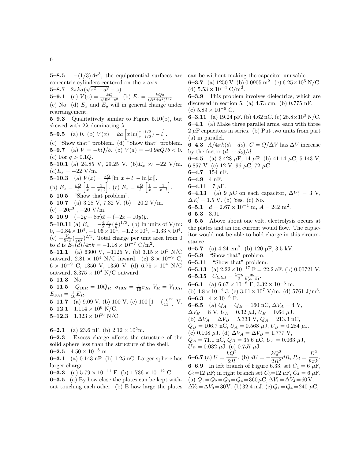**5–8.5**  $-(1/3)Ar^3$ , the equipotential surfaces are concentric cylinders centered on the z-axis. √

**5–8.7**  $2\pi k\sigma(\sqrt{z^2+a^2}-z)$ . **5–9.1** (a)  $V(z) = \frac{kQ}{\sqrt{B^2+1}}$  $\frac{kQ}{R^2+z^2}$ . (b)  $E_z = \frac{kQz}{(R^2+z^2)^{3/2}}$ . (c) No. (d)  $E_x$  and  $E_y$  will in general change under

rearrangement. 5–9.3 Qualitatively similar to Figure 5.10(b), but skewed with  $2\lambda$  dominating  $\lambda$ 

5-9.5 (a) 0. (b) 
$$
V(x) = ka \left[ x \ln(\frac{x+l/2}{x-l/2}) - l \right]
$$
.  
(c) "Show that" problem (d) "Show that" problem

(c) "Show that" problem. (d) "Show that" problem. 5–9.7 (a)  $V = -kQ/b$ . (b)  $V(a) = -0.9kQ/b < 0$ . (c) For  $q > 0.1Q$ .

5–10.1 (a) 24.85 V, 29.25 V. (b) $E_x \approx -22$  V/m.  $(c)E_x = -22$  V/m.

**5-10.3** (a) 
$$
V(x) = \frac{kQ}{l} [\ln |x + l| - \ln |x|].
$$
  
(b)  $E_x = \frac{kQ}{l} \left[ \frac{1}{x} - \frac{1}{x+l} \right].$  (c)  $E_x = \frac{kQ}{l} \left[ \frac{1}{x} - \frac{1}{x+l} \right]$ 

5–10.5 "Show that problem".

5–10.7 (a) 3.28 V, 7.32 V. (b) −20.2 V/m.

 $(c)$  −20 $r^3$ , −20 V/m.

5–10.9  $(-2y+8x)\hat{x}+(-2x+10y)\hat{y}.$ 

**5–10.11** (a)  $E_x = -\frac{4}{3} \frac{V_a}{d} (\frac{x}{d})^{1/3}$ . (b) In units of V/m:  $0, -0.84 \times 10^4, -1.06 \times 10^4, -1.2 \times 10^4, -1.33 \times 10^4.$ (c)  $-\frac{V_a}{9\pi k}(\frac{1}{xd^2})^{2/3}$ . Total charge per unit area from 0 to d is  $E_x(\tilde{d})/4\pi k = -1.18 \times 10^{-7} \text{ C/m}^2$ .

5–11.1 (a) 6300 V, −1125 V. (b)  $3.15 \times 10^5$  N/C outward,  $2.81 \times 10^4$  N/C inward. (c)  $3 \times 10^{-9}$  C.  $6 \times 10^{-9}$  C, 1350 V, 1350 V. (d)  $6.75 \times 10^{4}$  N/C outward,  $3.375 \times 10^4$  N/C outward.

5–11.3 No.

**5–11.5**  $Q_{10R} = 10Q_R$ ,  $\sigma_{10R} = \frac{1}{10}\sigma_R$ ,  $V_R = V_{10R}$ ,  $E_{10R} = \frac{1}{10} E_R.$ **5–11.7** (a) 9.09 V. (b) 100 V. (c) 100  $\left[1 - \left(\frac{10}{11}\right)^n\right]$  V. 5–12.1  $1.114 \times 10^6$  N/C.

5–12.3  $1.323 \times 10^{10}$  N/C.

**6–2.1** (a) 23.6 nF. (b)  $2.12 \times 10^2$ m.

6–2.3 Excess charge affects the structure of the solid sphere less than the structure of the shell. 6–2.5  $4.50 \times 10^{-8}$  m.

**6–3.1** (a) 0.143 nF. (b) 1.25 nC. Larger sphere has larger charge.

6–3.3 (a)  $5.79 \times 10^{-11}$  F. (b)  $1.736 \times 10^{-12}$  C.

 $6-3.5$  (a) By how close the plates can be kept without touching each other. (b) B how large the plates can be without making the capacitor unusable.

6–3.7 (a) 1250 V. (b) 0.0905 m<sup>2</sup>. (c)  $6.25 \times 10^5$  N/C. (d)  $5.53 \times 10^{-6}$  C/m<sup>2</sup>.

6–3.9 This problem involves dielectrics, which are discussed in section 5. (a) 4.73 cm. (b) 0.775 nF. (c)  $5.89 \times 10^{-6}$  C.

6–3.11 (a) 19.24 pF. (b) 4.62 nC. (c)  $28.8 \times 10^3$  N/C.  $6-4.1$  (a) Make three parallel arms, each with three  $2 \mu$ F capacitors in series. (b) Put two units from part (a) in parallel.

**6–4.3**  $A/4\pi k(d_1+d_2)$ .  $C = Q/\Delta V$  has  $\Delta V$  increase by the factor  $(d_1 + d_2)/d$ .

**6–4.5** (a) 3.428  $\mu$ F, 14  $\mu$ F. (b) 41.14  $\mu$ C, 5.143 V, 6.857 V. (c) 12 V, 96  $\mu$ C, 72  $\mu$ C.

6–4.7 154 nF.

6–4.9 4 nF.

6–4.11  $7 \mu$ F.

.

- 6–4.13 (a) 9  $\mu$ C on each capacitor,  $\Delta V'_1 = 3$  V,  $\Delta V'_2 = 1.5$  V. (b) Yes. (c) No.
- 6–5.1  $d = 2.67 \times 10^{-4}$  m,  $A = 242$  m<sup>2</sup>.

6–5.3 3.91.

6–5.5 Above about one volt, electrolysis occurs at the plates and an ion current would flow. The capacitor would not be able to hold charge in this circumstance.

6–5.7 (a)  $4.24 \text{ cm}^2$ . (b) 120 pF, 3.5 kV.

- 6–5.9 "Show that" problem.
- $6-5.11$  "Show that" problem.
- 6–5.13 (a)  $2.22 \times 10^{-17}$  F = 22.2 aF. (b) 0.00721 V.
- 6–5.15  $C_{total} = \frac{1+\kappa}{2} \frac{ab}{k(a-b)}.$ 6–6.1 (a)  $6.67 \times 10^{-8}$  F,  $3.32 \times 10^{-6}$  m. (b)  $4.8 \times 10^{-4}$  J. (c)  $3.61 \times 10^{7}$  V/m. (d)  $5761$  J/m<sup>3</sup>. 6–6.3  $4 \times 10^{-6}$  F.
- 
- 6–6.5 (a)  $Q_A = Q_B = 160 \text{ nC}, \Delta V_A = 4 \text{ V},$  $\Delta V_B = 8 \text{ V}, U_A = 0.32 \mu \text{J}, U_B = 0.64 \mu \text{J}.$
- (b)  $\Delta V_A = \Delta V_B = 5.333 \text{ V}, Q_A = 213.3 \text{ nC},$
- 
- $Q_B = 106.7 \text{ nC}, U_A = 0.568 \text{ }\mu\text{J}, U_B = 0.284 \text{ }\mu\text{J}.$
- (c) 0.108  $\mu$ J. (d)  $\Delta V_A = \Delta V_B = 1.777$  V,
- $Q_A = 71.1 \text{ nC}, Q_B = 35.6 \text{ nC}, U_A = 0.063 \mu \text{J},$  $U_B = 0.032 \mu J.$  (e) 0.757  $\mu J.$

6–6.7 (a)  $U = \frac{kQ^2}{2R}$  $\frac{kQ^2}{2R}$ . (b)  $dU = -\frac{kQ^2}{2R^2}$  $\frac{kQ^2}{2R^2}dR, \, P_{el} = \frac{E^2}{8\pi l}$  $rac{E}{8\pi k}$ . **6–6.9** In left branch of Figure 6.33, set  $C_1 = 6 \mu \text{F}$ ,  $C_2=12 \,\mu\text{F}$ ; in right branch set  $C_3=12 \,\mu\text{F}$ ,  $C_4=6 \,\mu\text{F}$ . (a)  $Q_1 = Q_2 = Q_3 = Q_4 = 360 \,\mu\text{C}, \Delta V_1 = \Delta V_4 = 60 \,\text{V},$  $\Delta V_2 = \Delta V_3 = 30 \text{ V}$ . (b) 32.4 mJ. (c)  $Q_1 = Q_4 = 240 \mu \text{C}$ ,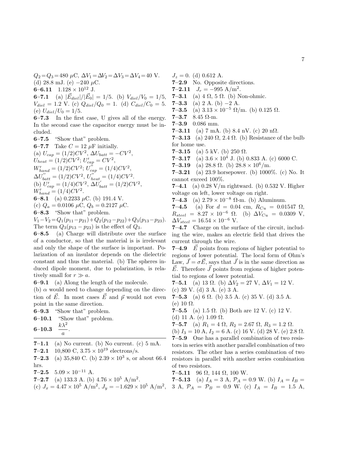$Q_2 = Q_3 = 480 \mu C, \ \Delta V_1 = \Delta V_2 = \Delta V_3 = \Delta V_4 = 40 \text{ V}.$ (d) 28.8 mJ. (e)  $-240 \mu C$ .

6–6.11  $1.128 \times 10^{12}$  J.

**6-7.1** (a)  $|\vec{E}_{diel}|/|\vec{E}_0| = 1/5$ . (b)  $V_{diel}/V_0 = 1/5$ ,  $V_{diel} = 1.2$  V. (c)  $Q_{diel}/Q_0 = 1$ . (d)  $C_{diel}/C_0 = 5$ . (e)  $U_{diel}/U_0 = 1/5$ .

6–7.3 In the first case, U gives all of the energy. In the second case the capacitor energy must be included.

6–7.5 "Show that" problem.

6–7.7 Take  $C = 12 \mu$ F initially. (a)  $U_{cap} = (1/2)CV^2$ ,  $\Delta U_{batt} = -CV^2$ ,  $U_{heat} = (1/2)CV^2; U'_{cap} = CV^2,$  $W'_{hand} = (1/2)CV^2; U^{n}_{cap} = (1/4)CV^2,$  $\Delta U_{batt}'' = (1/2)CV^2, U_{heat}'' = (1/4)CV^2.$ (b)  $U'_{cap} = (1/4)CV^2$ ,  $\Delta U'_{batt} = (1/2)CV^2$ ,  $W'_{hand} = (1/4)CV^2.$ 6–8.1 (a) 0.2233  $\mu$ C. (b) 191.4 V. (c)  $Q_a = 0.0106 \mu C$ ,  $Q_b = 0.2127 \mu C$ . 6–8.3 "Show that" problem.

 $V_1-V_2 = Q_1(p_{11}-p_{21})+Q_2(p_{12}-p_{22})+Q_3(p_{13}-p_{23}).$ The term  $Q_3(p_{13}-p_{23})$  is the effect of  $Q_3$ .

6–8.5 (a) Charge will distribute over the surface of a conductor, so that the material is is irrelevant and only the shape of the surface is important. Polarization of an insulator depends on the dielectric constant and thus the material. (b) The spheres induced dipole moment, due to polarization, is relatively small for  $r \gg a$ .

6–9.1 (a) Along the length of the molecule.

(b)  $\alpha$  would need to change depending on the direction of  $\vec{E}$ . In most cases  $\vec{E}$  and  $\vec{p}$  would not even point in the same direction.

6–9.3 "Show that" problem.

6–10.1 "Show that" problem.

$$
\textbf{6--10.3} \quad \frac{k\lambda^2}{a}.
$$

- 7–1.1 (a) No current. (b) No current. (c)  $5 \text{ mA}$ .
- 7–2.1 10,800 C,  $3.75 \times 10^{19}$  electrons/s.
- 
- **7–2.3** (a) 35,840 C. (b)  $2.39 \times 10^3$  s, or about 66.4 hrs.
- 7–2.5  $5.09 \times 10^{-11}$  A.
- **7–2.7** (a) 133.3 A. (b)  $4.76 \times 10^5$  A/m<sup>2</sup>.
- 

 $J_z = 0.$  (d) 0.612 A.

- 7–2.9 No. Opposite directions.
- **7–2.11**  $J_r = -995 \text{ A/m}^2$ .
- 7–3.1 (a)  $4 \Omega$ , 5  $\Omega$ . (b) Non-ohmic.
- 7–3.3 (a) 2 A. (b) –2 A.
- 7–3.5 (a)  $3.13 \times 10^{-5} \Omega/m$ . (b)  $0.125 \Omega$ .
- 7–3.7 8.45  $\Omega$ -m.
- 7–3.9 0.086 mm.
- 7–3.11 (a) 7 mA. (b) 8.4 nV. (c) 20 n $\Omega$ .
- 7–3.13 (a) 240  $\Omega$ , 2.4  $\Omega$ . (b) Resistance of the bulb for home use.
- 7–3.15 (a) 5 kV. (b) 250  $\Omega$ .

**7–3.17** (a)  $3.6 \times 10^4$  J. (b) 0.833 A. (c) 6000 C.

- 7–3.19 (a) 28.8  $\Omega$ . (b) 28.8  $\times$  10<sup>6</sup>/m.
- **7–3.21** (a) 23.9 horsepower. (b) 1000\%. (c) No. It cannot exceed 100%.

7–4.1 (a)  $0.28$  V/m rightward. (b)  $0.532$  V. Higher voltage on left, lower voltage on right.

7–4.3 (a)  $2.79 \times 10^{-8}$  Ω-m. (b) Aluminum.

7–4.5 (a) For  $d = 0.04$  cm,  $R_{Cu} = 0.01547 \Omega$ ,  $R_{steel} = 8.27 \times 10^{-6} \Omega$ . (b)  $\Delta V_{Cu} = 0.0309 \text{ V}$ ,  $\Delta V_{steel} = 16.54 \times 10^{-6}$  V.

7–4.7 Charge on the surface of the circuit, including the wire, makes an electric field that drives the current through the wire.

**7–4.9**  $\vec{E}$  points from regions of higher potential to regions of lower potential. The local form of Ohm's Law,  $\vec{J} = \sigma \vec{E}$ , says that  $\vec{J}$  is in the same direction as  $E$ . Therefore  $J$  points from regions of higher potential to regions of lower potential.

7–5.1 (a) 13  $\Omega$ . (b)  $\Delta V_2 = 27 \text{ V}$ ,  $\Delta V_1 = 12 \text{ V}$ . (c) 39 V. (d) 3 A. (e) 3 A.

7–5.3 (a) 6  $\Omega$ . (b) 3.5 A. (c) 35 V. (d) 3.5 A. (e) 10  $\Omega$ .

7–5.5 (a) 1.5  $\Omega$ . (b) Both are 12 V. (c) 12 V. (d) 11 A. (e)  $1.09 \Omega$ .

**7-5.7** (a) 
$$
R_1 = 4 \Omega
$$
,  $R_2 = 2.67 \Omega$ ,  $R_3 = 1.2 \Omega$ .

(b)  $I_3 = 10 \text{ A}, I_2 = 6 \text{ A}.$  (c) 16 V. (d) 28 V. (e) 2.8  $\Omega$ . 7–5.9 One has a parallel combination of two resistors in series with another parallel combination of two resistors. The other has a series combination of two resistors in parallel with another series combination of two resistors.

- 7–5.11 96  $\Omega$ , 144  $\Omega$ , 100 W.
- (c)  $J_x = 4.47 \times 10^5$  A/m<sup>2</sup>,  $J_y = -1.629 \times 10^5$  A/m<sup>2</sup>, 3 A,  $\mathcal{P}_A = \mathcal{P}_B = 0.9$  W. (c)  $I_A = I_B = 1.5$  A, **7–5.13** (a)  $I_A = 3$  A,  $\mathcal{P}_A = 0.9$  W. (b)  $I_A = I_B =$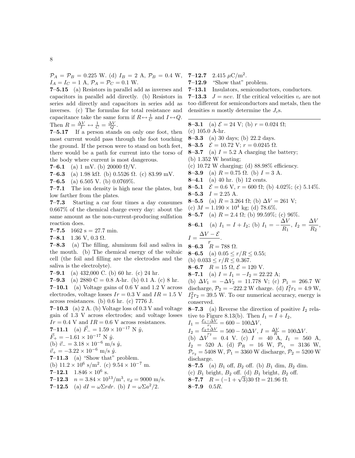$\mathcal{P}_A = \mathcal{P}_B = 0.225$  W. (d)  $I_B = 2$  A,  $\mathcal{P}_B = 0.4$  W, 7-12.7  $I_A = I_C = 1$  A,  $P_A = P_C = 0.1$  W.

7–5.15 (a) Resistors in parallel add as inverses and  $7-13.1$ capacitors in parallel add directly. (b) Resistors in series add directly and capacitors in series add as inverses. (c) The formulas for total resistance and capacitance take the same form if  $R \leftrightarrow \frac{1}{C}$  and  $I \leftrightarrow Q$ . Then  $R = \frac{\Delta V}{I} \leftrightarrow \frac{1}{C} = \frac{\Delta V}{Q}$ .

7–5.17 If a person stands on only one foot, then most current would pass through the foot touching the ground. If the person were to stand on both feet, there would be a path for current into the torso of the body where current is most dangerous.

7–6.1 (a) 1 mV. (b) 20000  $\Omega/V$ .

7–6.3 (a) 1.98 k $\Omega$ . (b) 0.5526  $\Omega$ . (c) 83.99 mV.

7–6.5 (a)  $6.505$  V. (b)  $0.0769\%$ .

7–7.1 The ion density is high near the plates, but low farther from the plates.

7–7.3 Starting a car four times a day consumes 0.667% of the chemical charge every day: about the same amount as the non-current-producing sulfation reaction does.

7–7.5  $1662 s = 27.7 min$ .

7–8.1 1.36 V, 0.3  $\Omega$ .

7–8.3 (a) The filling, aluminum foil and saliva in the mouth. (b) The chemical energy of the voltaic cell (the foil and filling are the electrodes and the saliva is the electrolyte).

7–9.1 (a)  $432,000$  C. (b) 60 hr. (c) 24 hr.

7–9.3 (a) 2880 C = 0.8 A-hr. (b) 0.1 A. (c) 8 hr.

**7–10.1** (a) Voltage gains of 0.6 V and 1.2 V across electrodes, voltage losses  $Ir = 0.3$  V and  $IR = 1.5$  V across resistances. (b) 0.6 hr. (c) 7776 J.

7–10.3 (a) 2 A. (b) Voltage loss of  $0.3$  V and voltage gain of 1.3 V across electrodes; and voltage losses  $Ir = 0.4$  V and  $IR = 0.6$  V across resistances.

**7–11.1** (a)  $\vec{F}_- = 1.59 \times 10^{-17}$  N  $\hat{y}$ ,  $\vec{F}_{+} = -1.61 \times 10^{-17}$  N  $\hat{y}$ . (b)  $\vec{v}_- = 3.18 \times 10^{-6}$  m/s  $\hat{y}$ ,  $\vec{v}_+ = -3.22 \times 10^{-6}$  m/s  $\hat{y}$ . 7–11.3 (a) "Show that" problem. (b)  $11.2 \times 10^6$  s/m<sup>2</sup>. (c)  $9.54 \times 10^{-7}$  m. **7-12.1** 1.846  $\times$  10<sup>6</sup> s. **7-12.3**  $n = 3.84 \times 10^{13} / \text{m}^3$ ,  $v_d = 9000 \text{ m/s}$ .

**7-12.5** (a)  $dI = \omega \Sigma r dr$ . (b)  $I = \omega \Sigma a^2 / 2$ .

**7–12.7** 2.415  $\mu$ C/m<sup>2</sup>.

7–12.9 "Show that" problem.

Insulators, semiconductors, conductors.

7–13.3  $J = nev$ . If the critical velocities  $v_c$  are not too different for semiconductors and metals, then the densities n mostly determine the  $J_c$ s.

**8–3.1** (a)  $\mathcal{E} = 24$  V; (b)  $r = 0.024 \Omega$ ; (c) 105.0 A-hr. **8–3.3** (a) 30 days; (b) 22.2 days. 8–3.5  $\mathcal{E} = 10.72$  V;  $r = 0.0245$  Ω. 8–3.7 (a)  $I = 5.2$  A charging the battery; (b) 1.352 W heating; (c)  $10.72$  W charging; (d)  $88.98\%$  efficiency. **8–3.9** (a)  $R = 0.75 \Omega$ . (b)  $I = 3 \text{ A}$ . **8–4.1** (a) 40 hr. (b) 12 cents. **8–5.1**  $\mathcal{E} = 0.6$  V,  $r = 600 \Omega$ ; (b) 4.02%; (c) 5.14%. 8–5.3  $I = 2.25$  A. **8–5.5** (a)  $R = 3.264 \Omega$ ; (b)  $\Delta V = 261 \text{ V}$ ; (c)  $M = 1.190 \times 10^4$  kg; (d) 78.6%. **8–5.7** (a)  $R = 2.4 \Omega$ ; (b) 99.59%; (c) 96%. **8–6.1** (a)  $I_1 = I + I_2$ ; (b)  $I_1 = -\frac{\Delta V}{R}$  $\frac{\Delta V}{R_1}, I_2 = \frac{\Delta V}{R_2}$  $\frac{1}{R_2}$ ,  $I = \frac{\Delta V - \mathcal{E}}{V}$ . **8–6.3**  $R = 788 \Omega$ . **8–6.5** (a)  $0.05 \le r/R \le 0.55$ ; (b)  $0.033 \le r/R \le 0.367$ . **8–6.7**  $R = 15 \Omega$ ,  $\mathcal{E} = 120 \text{ V}$ . **8–7.1** (a)  $I = I_1 = -I_2 = 22.22$  A; (b)  $\Delta V_1 = -\Delta V_2 = 11.778$  V; (c)  $\mathcal{P}_1 = 266.7$  W discharge,  $P_2 = -222.2$  W charge. (d)  $I_1^2 r_1 = 4.9$  W,  $I_2^2r_2 = 39.5$  W. To our numerical accuracy, energy is conserved. **8–7.3** (a) Reverse the direction of positive  $I_2$  relative to Figure 8.13(b). Then  $I_1 = I + I_2$ ,  $I_1 = \frac{\mathcal{E}_1 - \Delta V}{r_1} = 600 - 100\Delta V,$  $I_2 = \frac{\mathcal{E}_2 + \Delta V}{I^2} = 500 - 50\Delta V, I = \frac{\Delta V}{R} = 100\Delta V.$ (b)  $\Delta V = 0.4$  V. (c)  $I = 40$  A,  $I_1 = 560$  A,  $I_2 = 520$  A. (d)  $\mathcal{P}_R = 16$  W,  $\mathcal{P}_{r_1} = 3136$  W,  $\mathcal{P}_{r_2} = 5408 \text{ W}, \mathcal{P}_1 = 3360 \text{ W}$  discharge,  $\mathcal{P}_2 = 5200 \text{ W}$ discharge. **8–7.5** (a)  $B_1$  off,  $B_2$  off. (b)  $B_1$  dim,  $B_2$  dim. (c)  $B_1$  bright,  $B_2$  off. (d)  $B_1$  bright,  $B_2$  off. (c)  $B_1$  bright,  $B_2$  on. (d)  $B_1$  bright,  $B_2$ <br>8–7.7  $R = (-1 + \sqrt{3})30 \Omega = 21.96 \Omega$ .  $8 - 7.9$  0.5R.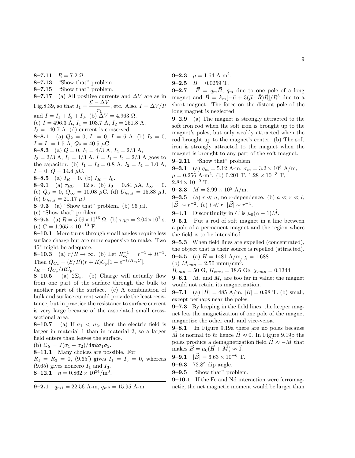8–7.11  $R = 7.2$  Ω.

- 8–7.13 "Show that" problem.
- 8–7.15 "Show that" problem.

8–7.17 (a) All positive currents and  $\Delta V$  are as in Fig.8.39, so that  $I_1 = \frac{\mathcal{E} - \Delta V}{r}$  $\frac{dV}{r_1}$ , etc. Also,  $I = \Delta V/R$ and  $I = I_1 + I_2 + I_3$ . (b)  $\Delta V = 4.963 \Omega$ . (c)  $I = 496.3$  A,  $I_1 = 103.7$  A,  $I_2 = 251.8$  A,  $I_3 = 140.7$  A. (d) current is conserved. 8–8.1 (a)  $Q_2 = 0$ ,  $I_1 = 0$ ,  $I = 6$  A. (b)  $I_2 = 0$ ,  $I = I_1 = 1.5$  A,  $Q_2 = 40.5$   $\mu$ C. **8–8.3** (a)  $Q = 0$ ,  $I_1 = 4/3$  A,  $I_2 = 2/3$  A,  $I_3 = 2/3$  A,  $I_4 = 4/3$  A.  $I = I_1 - I_2 = 2/3$  A goes to the capacitor. (b)  $I_1 = I_3 = 0.8$  A,  $I_2 = I_4 = 1.0$  A,  $I = 0, Q = 14.4 \mu C.$ **8–8.5** (a)  $I_R = 0$ . (b)  $I_R = I_0$ . **8–9.1** (a)  $\tau_{RC} = 12$  s. (b)  $I_0 = 0.84 \mu\text{A}, I_\infty = 0.$ (c)  $Q_0 = 0$ ,  $Q_{\infty} = 10.08 \mu C$ . (d)  $U_{heat} = 15.88 \mu J$ . (e)  $U_{heat} = 21.17 \mu J$ .

**8–9.3** (a) "Show that" problem. (b) 96  $\mu$ J.

(c) "Show that" problem.

**8-9.5** (a)  $R = 5.09 \times 10^{15} \Omega$ . (b)  $\tau_{RC} = 2.04 \times 10^{7} \text{ s}$ . (c)  $C = 1.965 \times 10^{-13}$  F.

8–10.1 More turns through small angles require less surface charge but are more expensive to make. Two 45◦ might be adequate.

**8–10.3** (a)  $r/R \to \infty$ . (b) Let  $R_{eq}^{-1} = r^{-1} + R^{-1}$ . Then  $Q_{C_p} = (\mathcal{E}/R)(r+R)C_p[1 - e^{-t/R_{eq}C}],$  $I_R = Q_{C_p}/RC_p.$ 

**8–10.5** (a)  $2\Sigma_s$ . (b) Charge will actually flow from one part of the surface through the bulk to another part of the surface. (c) A combination of bulk and surface current would provide the least resistance, but in practice the resistance to surface current is very large because of the associated small crosssectional area.

**8–10.7** (a) If  $\sigma_1 < \sigma_2$ , then the electric field is larger in material 1 than in material 2, so a larger field enters than leaves the surface.

(b)  $\Sigma_S = J(\sigma_1 - \sigma_2)/4\pi k \sigma_1 \sigma_2$ .

8–11.1 Many choices are possible. For

 $R_1 = R_3 = 0$ , (9.65') gives  $I_1 = I_3 = 0$ , whereas  $(9.65)$  gives nonzero  $I_1$  and  $I_3$ . **8-12.1**  $n = 0.862 \times 10^{24} / \text{m}^3$ .

**9–2.1** 
$$
q_{m1} = 22.56
$$
 A-m,  $q_{m2} = 15.95$  A-m.

- **9–2.3**  $\mu = 1.64$  A-m<sup>2</sup>.
- 9–2.5  $B = 0.0259$  T.

**9–2.7**  $\vec{F} = q_m \vec{B}$ ,  $q_m$  due to one pole of a long magnet and  $\vec{B} = k_m[-\vec{\mu} + 3(\vec{\mu} \cdot \hat{R})\hat{R}]/R^3$  due to a short magnet. The force on the distant pole of the long magnet is neglected.

9–2.9 (a) The magnet is strongly attracted to the soft iron rod when the soft iron is brought up to the magnet's poles, but only weakly attracted when the rod brought up to the magnet's center. (b) The soft iron is strongly attracted to the magnet when the magnet is brought to any part of the soft magnet.

9–2.11 "Show that" problem. **9–3.1** (a)  $q_m = 5.12$  A-m,  $\sigma_m = 3.2 \times 10^5$  A/m,

 $\mu = 0.256$  A-m<sup>2</sup>. (b) 0.201 T,  $1.28 \times 10^{-3}$  T,  $2.84 \times 10^{-9}$  T.

**9–3.3**  $M = 3.99 \times 10^5$  A/m.

**9–3.5** (a)  $r \ll a$ , no *r*-dependence. (b)  $a \ll r \ll l$ ,  $|\vec{B}| \sim r^{-2}$ . (c)  $l \ll r$ ,  $|\vec{B}| \sim r^{-4}$ .

**9–4.1** Discontinuity in  $\vec{C}$  is  $\mu_0(\alpha - 1)\vec{M}$ .

9–5.1 Put a rod of soft magnet in a line between a pole of a permanent magnet and the region where the field is to be intensified.

9–5.3 When field lines are expelled (concentrated), the object that is their source is repelled (attracted).

**9–5.5** (a)  $H = 1481 \text{ A/m}, \chi = 1.688.$ 

(b)  $M_{emu} = 2.50 \text{ mmu/cm}^3$ ,

 $B_{emu} = 50 \text{ G}, H_{emu} = 18.6 \text{ Oe}, \chi_{emu} = 0.1344.$ 

**9–6.1**  $M_r$  and  $M_s$  are too far in value; the magnet would not retain its magnetization.

**9–7.1** (a)  $|\vec{H}| = 485$  A/m,  $|\vec{B}| = 0.98$  T. (b) small, except perhaps near the poles.

9–7.3 By keeping in the field lines, the keeper magnet lets the magnetization of one pole of the magnet magnetize the other end, and vice-versa.

9–8.1 In Figure 9.19a there are no poles because  $\overrightarrow{M}$  is normal to  $\hat{n}$ ; hence  $\overrightarrow{H} \approx \overrightarrow{0}$ . In Figure 9.19b the poles produce a demagnetization field  $H \approx -M$  that makes  $B = \mu_0 (H + M) \approx 0.$ 

**9–9.1**  $|\vec{B}| = 6.63 \times 10^{-6}$  T.

9–9.3 72.8<sup>°</sup> dip angle.

9–9.5 "Show that" problem.

9–10.1 If the Fe and Nd interaction were ferromagnetic, the net magnetic moment would be larger than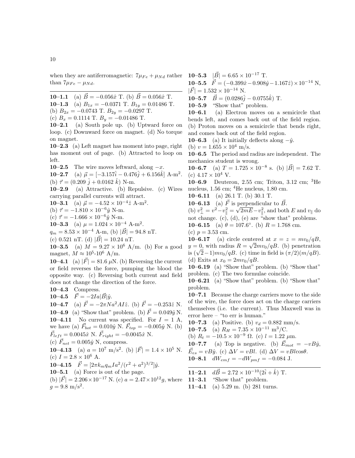**10–1.1** (a)  $\vec{B} = -0.056\hat{x}$  T. (b)  $\vec{B} = 0.056\hat{x}$  T. 10–1.3 (a)  $B_{1x} = -0.0371$  T.  $B_{1y} = 0.01486$  T. (b)  $B_{2x} = -0.0743$  T.  $B_{2y} = -0.0297$  T.

(c)  $B_x = 0.1114$  T.  $B_y = -0.01486$  T.

10–2.1 (a) South pole up. (b) Uptward force on loop. (c) Downward force on magnet. (d) No torque on magnet.

10–2.3 (a) Left magnet has moment into page, right has moment out of page. (b) Attracted to loop on left.

**10–2.5** The wire moves leftward, along  $-x$ .

**10–2.7** (a)  $\vec{\mu} = [-3.157\hat{i} - 0.476\hat{j} + 6.156\hat{k}]$  A-m<sup>2</sup>. (b)  $\vec{\tau} = (0.209 \hat{i} + 0.0162 \hat{k})$  N-m.

10–2.9 (a) Attractive. (b) Repulsive. (c) Wires carrying parallel currents will attract.

10–3.1 (a)  $\vec{\mu} = -4.52 \times 10^{-4} \hat{z} \text{ A-m}^2$ .

(b)  $\vec{\tau} = -1.810 \times 10^{-6} \hat{y}$  N-m.

(c)  $\vec{\tau} = -1.666 \times 10^{-6} \hat{y}$  N-m.

10–3.3 (a)  $\mu = 1.024 \times 10^{-4}$  A-m<sup>2</sup>.

 $q_m = 8.53 \times 10^{-4}$  A-m, (b)  $|\vec{B}| = 94.8$  nT.

(c) 0.521 nT. (d)  $|\vec{B}| = 10.24$  nT.

10–3.5 (a)  $M = 9.27 \times 10^6$  A/m. (b) For a good magnet,  $M \approx 10^5$ -10<sup>6</sup> A/m.

**10–4.1** (a)  $|\vec{F}| = 81.6 \,\mu\text{N}$ . (b) Reversing the current or field reverses the force, pumping the blood the opposite way. (c) Reversing both current and field does not change the direction of the force.

10–4.3 Compress.

10–4.5  $\vec{F} = -2Ia|\vec{B}|\hat{y}$ .

**10–4.7** (a)  $\vec{F} = -2\pi N a^2 A I \hat{z}$ . (b)  $\vec{F} = -0.253\hat{z}$  N.

**10–4.9** (a) "Show that" problem. (b)  $\vec{F} = 0.049\hat{y}$  N. 10–4.11 No current was specified. For  $I = 1$  A, we have (a)  $\vec{F}_{bot} = 0.010\hat{y} \text{ N}$ .  $\vec{F}_{top} = -0.005\hat{y} \text{ N}$ . (b)  $\vec{F}_{left} = 0.0045\hat{x} \text{ N. } \vec{F}_{right} = -0.0045\hat{x} \text{ N.}$ 

(c)  $\vec{F}_{net} = 0.005\hat{y}$  N, compress.

**10–4.13** (a)  $a = 10^7$  m/s<sup>2</sup>. (b)  $|\vec{F}| = 1.4 \times 10^5$  N. (c)  $I = 2.8 \times 10^6$  A.

**10–4.15**  $\vec{F} = [2\pi k_m q_m I a^2/(r^2 + a^2)^{3/2}]\hat{y}.$ 

10–5.1 (a) Force is out of the page.

(b)  $|\vec{F}| = 2.206 \times 10^{-17}$  N. (c)  $a = 2.47 \times 10^{12}$ g, where  $g = 9.8 \text{ m/s}^2$ .

10–5.5  $\vec{F} = (-0.399\hat{x} - 0.908\hat{y} - 1.167\hat{z}) \times 10^{-14} \text{ N},$  $|\vec{F}| = 1.532 \times 10^{-14}$  N.

10–5.7  $\vec{B} = (0.0286\hat{j} - 0.0755\hat{k})$  T.

10–5.9 "Show that" problem.

10–6.1 (a) Electron moves on a semicircle that bends left, and comes back out of the field region. (b) Proton moves on a semicircle that bends right, and comes back out of the field region.

**10–6.3** (a) It initially deflects along  $-\hat{y}$ .

(b)  $v = 1.655 \times 10^4$  m/s.

10–6.5 The period and radius are independent. The mechanics student is wrong.

**10–6.7** (a)  $T = 1.725 \times 10^{-8}$  s. (b)  $|\vec{B}| = 7.62$  T. (c)  $4.17 \times 10^4$  V.

10–6.9 Deuteron, 2.55 cm; Triton, 3.12 cm; <sup>3</sup>He nucleus,  $1.56 \text{ cm}$ ; <sup>4</sup>He nucleus,  $1.80 \text{ cm}$ .

10–6.11 (a) 26.1 T. (b) 30.1 T.

10–6.13 (a)  $\vec{F}$  is perpendicular to  $\vec{B}$ .

(b)  $v_{\perp}^2 = v^2 - v_{\parallel}^2 = \sqrt{2mE} - v_{\parallel}^2$ , and both E and  $v_{\parallel}$  do not change.  $(c)$ ,  $(d)$ ,  $(e)$  are "show that" problems. **10–6.15** (a)  $\theta = 107.6^{\circ}$ . (b)  $R = 1.768$  cm. (c)  $p = 3.53$  cm.

10–6.17 (a) circle centered at  $x = z = mv_0/qB$ ,  $y = 0$ , with radius  $R = \sqrt{2m v_0/qB}$ . (b) penetration  $y = 0$ , with radius  $R = \sqrt{2mv_0/q}B$ . (b) penetration<br>is  $(\sqrt{2}-1)mv_0/qB$ . (c) time in field is  $(\pi/2)(m/qB)$ . (d) Exits at  $x_0 = 2mv_0/qB$ .

10–6.19 (a) "Show that" problem. (b) "Show that" problem. (c) The two formulae coincide.

10–6.21 (a) "Show that" problem. (b) "Show that" problem.

10–7.1 Because the charge carriers move to the side of the wire, the force does act on the charge carriers themselves (i.e. the current). Thus Maxwell was in error here – "to err is human."

10–7.3 (a) Positive. (b)  $v_d = 0.882$  mm/s.

**10–7.5** (a) 
$$
R_H = 7.35 \times 10^{-11} \text{ m}^3/\text{C}
$$
.

(b) 
$$
R_t = -10.5 \times 10^{-9} \Omega
$$
. (c)  $l = 1.22 \mu$ m.

**10–7.7** (a) Top is negative. (b)  $\vec{E}_{mot} = -vB\hat{y}$ ,

 $\vec{E}_{es} = vB\hat{y}$ . (c)  $\Delta V = vBl$ . (d)  $\Delta V = vBl\cos\theta$ . **10–8.1**  $dW_{emf} = -dW_{pmf} = -0.084$  J.

11–2.1  $d\vec{B} = 2.72 \times 10^{-10} (2\hat{i} + \hat{k})$  T.

11–3.1 "Show that" problem.

11–4.1 (a) 5.29 m. (b) 281 turns.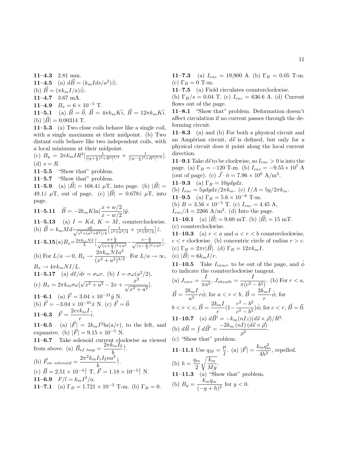11–4.3 2.81 mm. **11–4.5** (a)  $d\vec{B} = (k_m I ds/a^2)\hat{\otimes}$ . (b)  $\vec{B} = (\pi k_m I/a) \hat{\otimes}$ . 11–4.7 3.67 mA. 11–4.9  $B_x = 6 \times 10^{-5}$  T. **11–5.1** (a)  $\vec{B} = \vec{0}$ ,  $\vec{B} = 4\pi k_m K \hat{i}$ ,  $\vec{B} = 12\pi k_m K \hat{i}$ . (b)  $|\vec{B}| = 0.00314$  T.

11–5.3 (a) Two close coils behave like a single coil, with a single maximum at their midpoint. (b) Two distant coils behave like two independent coils, with a local minimum at their midpoint.

(c) 
$$
B_y = 2\pi k_m I R^2 \left[ \frac{1}{[(y+\frac{s}{2})^2 + R^2]^{3/2}} + \frac{1}{[(y-\frac{s}{2})^2 + R^2]^{3/2}} \right].
$$
  
(d)  $s = R$ .

11–5.5 "Show that" problem.

11–5.7 "Show that" problem.

**11–5.9** (a)  $|\vec{B}| = 168.4\hat{z} \mu T$ , into page. (b)  $|\vec{B}| =$ 49.1 $\hat{z}$   $\mu$ T, out of page. (c)  $|\vec{B}| = 0.678\hat{z}$   $\mu$ T, into page.

11-5.11 
$$
\vec{B} = -2k_m K \ln(\frac{x+w/2}{x-w/2})\hat{y}
$$
.  
\n11-5.13 (a)  $I = Kd$ ,  $K = M$ , counterclockwise.  
\n(b)  $\vec{B} = k_m M d \frac{ab}{\sqrt{z^2 + (a^2 + b^2)/4}} \left[\frac{1}{z^2 + a^2/4} + \frac{1}{z^2 + b^2/4}\right] \hat{z}$ .  
\n11-5.15(a)  $B_x = \frac{2\pi k_m NI}{L} \left[\frac{x+\frac{L}{2}}{\sqrt{(x+\frac{L}{2})^2 + a^2}} - \frac{x-\frac{L}{2}}{\sqrt{(x-\frac{L}{2})^2 + a^2}}\right]$ .  
\n(b) For  $L/a \to 0$ ,  $B_x \to \frac{2\pi k_m N I a^2}{(x^2 + a^2)^{3/2}}$ . For  $L/a \to \infty$ ,  $B_x \to 4\pi k_m NI/L$ .  
\n11-5.17 (a)  $dI/dr = \sigma \omega r$ . (b)  $I = \sigma \omega (a^2/2)$ .  
\n(c)  $B_x = 2\pi k_m \sigma \omega [\sqrt{x^2 + a^2} - 2x + \frac{x^2}{\sqrt{x^2 + a^2}}]$ .  
\n11-6.1 (a)  $\vec{F} = 3.04 \times 10^{-21} \hat{y}$  N.  
\n(b)  $\vec{F} = -3.04 \times 10^{-21} \hat{x}$  N. (c)  $\vec{F} = \vec{0}$ .  
\n11-6.3  $\vec{F} = \frac{2ev k_m I}{r} \hat{i}$ .  
\n11-6.5 (a)  $|\vec{F}| = 2k_m I^2 \ln(a/r)$ , to the left, and  
\nexpansive. (b)  $|\vec{F}| = 9.15 \times 10^{-5}$  N.  
\n11-6.7 Take solenoid current clockwise as viewed  
\nfrom above. (a)  $\vec{B}_{of \; loop} = \frac{2\pi k_m I_2}{b} \hat{i}$ .  
\n(b)  $\vec{F}_{on \; solenoid} = \frac{2\pi^2 k_m I_1 I_2 n a^2}{b} \hat{i}$ .

(c) 
$$
\vec{B} = 2.51 \times 10^{-4} \hat{\uparrow}
$$
 T,  $\vec{F} = 1.18 \times 10^{-5} \hat{\uparrow}$  N.  
11-6.9  $F/l = k_m I^2/a$ .  
11-7.1 (a)  $\Gamma_B = 1.721 \times 10^{-5}$  T-m. (b)  $\Gamma_B = 0$ .

11–7.3 (a)  $I_{enc} = 19,900$  A. (b)  $\Gamma_B = 0.05$  T-m. (c)  $\Gamma_B = 0$  T-m.

11–7.5 (a) Field circulates counterclockwise.

(b)  $\Gamma_B/s = 0.04$  T. (c)  $I_{enc} = 636.6$  A. (d) Current flows out of the page.

11–8.1 "Show that" problem. Deformation doesn't affect circulation if no current passes through the deforming circuit.

11–8.3 (a) and (b) For both a physical circuit and an Ampèrian circuit,  $d\vec{s}$  is defined, but only for a physical circuit does it point along the local current direction.

**11–9.1** Take  $d\vec{s}$  to be clockwise, so  $I_{enc} > 0$  is into the page. (a)  $\Gamma_B = -120$  T-m. (b)  $I_{enc} = -9.55 \times 10^7$  A (out of page). (c)  $\vec{J} \cdot \hat{n} = 7.96 \times 10^6$  A/m<sup>2</sup>.

11–9.3 (a)  $\Gamma_B = 10ydydx$ .

(b)  $I_{enc} = 5y dy dx / 2\pi k_m$ . (c)  $I/A = 5y / 2\pi k_m$ .

11–9.5 (a)  $\Gamma_B = 5.6 \times 10^{-6}$  T-m.

(b) 
$$
B = 3.56 \times 10^{-5}
$$
 T. (c)  $I_{enc} = 4.45$  A,

 $I_{enc}/A = 2266$  A/m<sup>2</sup>. (d) Into the page.

11–10.1 (a)  $|\vec{B}| = 9.60$  mT. (b)  $|\vec{B}| = 15$  mT. (c) counterclockwise.

11–10.3 (a)  $r < a$  and  $a < r < b$  counterclockwise,  $c < r$  clockwise. (b) concentric circle of radius  $r > c$ . (c)  $\Gamma_B = 2\pi r |\vec{B}|$ . (d)  $\Gamma_B = 12\pi k_m I$ . (e)  $|\vec{B}| = 6k_m I/r$ .

**11–10.5** Take  $I_{inner}$  to be out of the page, and  $\phi$ to indicate the counterclockwise tangent.

(a) 
$$
J_{core} = \frac{I}{\pi a^2}
$$
,  $J_{sheath} = \frac{I}{\pi (c^2 - b^2)}$ . (b) For  $r < a$ ,  
\n $\vec{B} = \frac{2k_m I}{a^2} r \hat{\phi}$ ; for  $a < r < b$ ,  $\vec{B} = \frac{2k_m I}{r} \hat{\phi}$ ; for  
\n $b < r < c$ ,  $\vec{B} = \frac{2k_m I}{r} (1 - \frac{r^2 - b^2}{c^2 - b^2}) \hat{\phi}$ ; for  $c < r$ ,  $\vec{B} = \vec{0}$ .  
\n11-10.7 (a)  $d\vec{B}' = -k_m (nIz)(d\vec{s} \times \vec{p})/R^3$ .  
\n(b)  $d\vec{B} = \int d\vec{B}' = \frac{-2k_m (nI)(d\vec{s} \times \vec{p})}{\rho^2}$ .  
\n(c) "Show that" problem.

11-11.1 Use 
$$
q_M = \frac{\mu}{l}
$$
. (a)  $|\vec{F}| = \frac{k_m q_m^2}{4h^2}$ , repelled.  
\n(b)  $h = \frac{q_m}{2} \sqrt{\frac{k_m}{Mg}}$ .  
\n11-11.3 (a) "Show that" problem.  
\n(b)  $B_y = \frac{k_m q_m}{(-y+h)^2}$  for  $y < 0$ .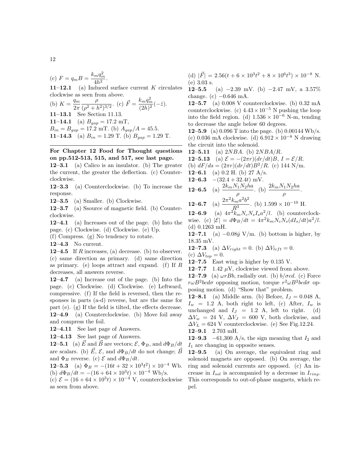(c) 
$$
F = q_m B = \frac{k_m q_m^2}{4h^2}
$$
.

**11–12.1** (a) Induced surface current K circulates clockwise as seen from above.  $\overline{2}$ 

(b) 
$$
K = \frac{q_m}{2\pi} \frac{\rho}{(\rho^2 + h^2)^{3/2}}
$$
. (c)  $\vec{F} = \frac{k_m q_m^2}{(2h)^2} (-\hat{z})$ .  
11-13.1 See Section 11.13.  
11-14.1 (a)  $B_{gap} = 17.2$  mT,  
 $B_{in} = B_{gap} = 17.2$  mT. (b)  $A_{gap}/A = 45.5$ .  
11-14.3 (a)  $B_{in} = 1.29$  T. (b)  $B_{gap} = 1.29$  T.

### For Chapter 12 Food for Thought questions on pp.512-513, 515, and 517, see last page.

12–3.1 (a) Calico is an insulator. (b) The greater the current, the greater the deflection. (c) Counterclockwise.

12–3.3 (a) Counterclockwise. (b) To increase the response.

12–3.5 (a) Smaller. (b) Clockwise.

12–3.7 (a) Ssource of magnetic field. (b) Counterclockwise.

12–4.1 (a) Increases out of the page. (b) Into the page. (c) Clockwise. (d) Clockwise. (e) Up.

(f) Compress. (g) No tendency to rotate.

12–4.3 No current.

12–4.5 If R increases, (a) decrease. (b) to observer. (c) same direction as primary. (d) same direction as primary. (e) loops attract and expand. (f) If  $R$ decreases, all answers reverse.

12–4.7 (a) Increase out of the page. (b) Into the page. (c) Clockwise. (d) Clockwise. (e) Leftward, compressive. (f) If the field is reversed, then the responses in parts (a-d) reverse, but are the same for part (e). (g) If the field is tilted, the effects decrease. 12–4.9 (a) Counterclockwise. (b) Move foil away and compress the foil.

12–4.11 See last page of Answers.

12–4.13 See last page of Answers.

**12–5.1** (a)  $\vec{E}$  and  $\vec{B}$  are vectors;  $\mathcal{E}, \Phi_B$ , and  $d\Phi_B/dt$ are scalars. (b)  $\vec{E}, \mathcal{E}$ , and  $d\Phi_B/dt$  do not change;  $\vec{B}$ and  $\Phi_B$  reverse. (c)  $\mathcal E$  and  $d\Phi_B/dt$ .

**12–5.3** (a)  $\Phi_B = -(16t + 32 \times 10^3 t^2) \times 10^{-4}$  Wb. (b)  $d\Phi_B/dt = -(16 + 64 \times 10^3 t) \times 10^{-4}$  Wb/s.

(c)  $\mathcal{E} = (16 + 64 \times 10^3 t) \times 10^{-4}$  V, counterclockwise as seen from above.

(d)  $|\vec{F}| = 2.56(t + 6 \times 10^3 t^2 + 8 \times 10^6 t^3) \times 10^{-8}$  N. (e) 3.03 s.

12–5.5 (a) −2.39 mV. (b) −2.47 mV, a  $3.57\%$ change.  $(c)$  –0.646 mA.

12–5.7 (a) 0.008 V counterclockwise. (b) 0.32 mA counterclockwise. (c)  $4.43 \times 10^{-5}$  N pushing the loop into the field region. (d)  $1.536 \times 10^{-6}$  N-m, tending to decrease the angle below 60 degrees.

**12–5.9** (a) 0.096 T into the page. (b) 0.00144 Wb/s. (c) 0.036 mA clockwise. (d)  $6.912 \times 10^{-8}$  N drawing the circuit into the solenoid.

12–5.11 (a)  $2NBA$ . (b)  $2NBA/R$ .

**12–5.13** (a)  $\mathcal{E} = -(2\pi r)(dr/dt)B, I = \mathcal{E}/R$ .

(b)  $dF/ds = (2\pi r)(dr/dt)B^2/R$ . (c) 144 N/m.  $12-6.1$  (a) 0.2 H (b) 27 A/s.

12–6.3 −(32.4 + 32.4t) mV.

**12-6.5** (a) 
$$
\frac{2k_mN_1N_2ha}{\rho}
$$
. (b)  $\frac{2k_mN_1N_2ha}{\rho}$ 

12-6.7 (a) 
$$
\frac{2\pi^2 k_m a^2 b^2}{R^3}
$$
. (b)  $1.599 \times 10^{-10}$  H.

**12–6.9** (a)  $4\pi^2 k_m N_c N_s I_s a^2/l$ . (b) counterclockwise. (c)  $|\mathcal{E}| = d\Phi_B/dt = 4\pi^2 k_m N_c N_s (dI_s/dt) a^2/l$ . (d) 0.1263 mH.

.

**12–7.1** (a)  $-0.08\hat{y}$  V/m. (b) bottom is higher, by 18.35 mV.

**12–7.3** (a)  $\Delta V_{right} = 0$ . (b)  $\Delta V_{left} = 0$ .

(c)  $\Delta V_{top} = 0$ .

12–7.5 East wing is higher by  $0.135$  V.

12–7.7 1.42  $\mu$ V, clockwise viewed from above.

**12–7.9** (a)  $\omega rBb$ , radially out. (b)  $b/\sigma c d$ . (c) Force  $r\omega B^2bcd\sigma$  opposing motion, torque  $r^2\omega B^2bcd\sigma$  opposing motion. (d) "Show that" problem.

12–8.1 (a) Middle arm. (b) Before,  $I_J = 0.048$  A,  $I_w = 1.2$  A, both right to left, (c) After,  $I_w$  is unchanged and  $I_J = 1.2$  A, left to right. (d)  $\Delta V_w = 24$  V,  $\Delta V_J = 600$  V, both clockwise, and  $\Delta V_L = 624$  V counterclockwise. (e) See Fig.12.24. 12–9.1 2.703 mH.

12–9.3 –61,300 A/s, the sign meaning that  $I_2$  and  $I_1$  are changing in opposite senses.

12–9.5 (a) On average, the equivalent ring and solenoid magnets are opposed. (b) On average, the ring and solenoid currents are opposed. (c) An increase in  $I_{sol}$  is accompanied by a decrease in  $I_{ring}$ . This corresponds to out-of-phase magnets, which repel.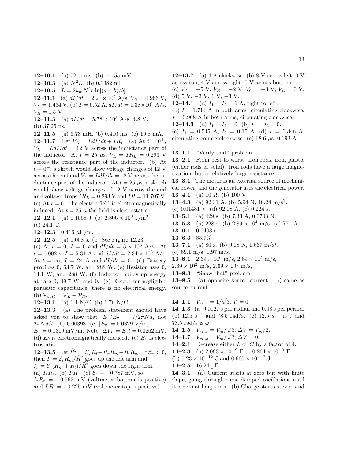12–10.1 (a) 72 turns. (b)  $-1.55$  mV. 12–10.3 (a)  $N^2L$ . (b) 0.1382 mH. 12–10.5  $L = 2k_m N^2 a \ln[(a+b)/b].$ 12–11.1 (a)  $dI/dt = 2.21 \times 10^5$  A/s,  $V_R = 0.966$  V,  $V_L = 1.434$  V. (b)  $I = 6.52$  A,  $dI/dt = 1.38 \times 10^5$  A/s,  $V_R = 1.5$  V. 12–11.3 (a)  $dI/dt = 5.78 \times 10^5$  A/s, 4.8 V.

(b) 37.25 ns.

12–11.5 (a) 6.73 mH. (b) 0.410 ms. (c) 19.8 mA. 12–11.7 Let  $V_L = L dI/dt + IR_L$ . (a) At  $t = 0^+$ .  $V_L = L dI/dt = 12$  V across the inductance part of the inductor. At  $t = 25 \mu s$ ,  $V_L = IR_L = 0.293 \text{ V}$ across the resistance part of the inductor. (b) At  $t = 0^+$ , a sketch would show voltage changes of 12 V across the emf and  $V_L = L dI/dt = 12$  V across the inductance part of the inductor. At  $t = 25 \mu s$ , a sketch would show voltage changes of 12 V across the emf and voltage drops  $IR_L = 0.293$  V and  $IR = 11.707$  V. (c) At  $t = 0^+$  the electric field is electromagnetically induced. At  $t = 25 \mu$  the field is electrostatic.

**12–12.1** (a) 0.1568 J. (b) 
$$
2.306 \times 10^8
$$
 J/m<sup>3</sup>.

(c) 24.1 T.

12–12.3 0.416  $\mu$ H/m.

12–12.5 (a) 0.008 s. (b) See Figure 12.23.

(c) At  $t = 0$ ,  $I = 0$  and  $dI/dt = 3 \times 10^3$  A/s. At  $t = 0.002$  s,  $I = 5.31$  A and  $dI/dt = 2.34 \times 10^3$  A/s. At  $t = \infty$ ,  $I = 24$  A and  $dI/dt = 0$ . (d) Battery provides 0, 63.7 W, and 288 W. (e) Resistor uses 0, 14.1 W, and 288 W. (f) Inductor builds up energy at rate 0, 49.7 W, and 0. (g) Except for negligible parasitic capacitance, there is no electrical energy. (h)  $\mathcal{P}_{batt} = \mathcal{P}_L + \mathcal{P}_R$ .

12–13.1 (a) 1.1 N/C. (b) 1.76 N/C.

12–13.3 (a) The problem statement should have asked you to show that  $|E_z/E_\theta| = l/2\pi N a$ , not  $2\pi Na/l$ . (b) 0.00398. (c)  $|E_\theta| = 0.0329 \text{ V/m}$ ,

 $E_z = 0.1309 \,\text{mV/m}$ . Note:  $\Delta V_L = E_z l = 0.0262 \,\text{mV}$ . (d)  $E_{\theta}$  is electromagnetically induced. (e)  $E_z$  is electrostatic.

**12–13.5** Let  $\tilde{R}^2 = R_r R_l + R_r R_m + R_l R_m$ . If  $\mathcal{E}_r > 0$ , then  $I_l = \mathcal{E}_r R_m / \tilde{R}^2$  goes up the left arm and  $I_r = \mathcal{E}_r(R_m + R_l)/\tilde{R}^2$  goes down the right arm. (a)  $I_r R_r$ . (b)  $I_l R_l$ . (c)  $\mathcal{E}_r = -0.787$  mV, so

 $I_rR_r = -0.562$  mV (voltmeter bottom is positive) and  $I_lR_l = -0.225$  mV (voltmeter top is positive).

12–13.7 (a)  $4 \text{ A clockwise}$ . (b)  $8 \text{ V across left}$ ,  $0 \text{ V}$ across top, 4 V across right, 0 V across bottom.

(c)  $V_A = -5$  V,  $V_B = -2$  V,  $V_C = -3$  V,  $V_D = 0$  V. (d) 5 V, −3 V, 1 V, −3 V. 12–14.1 (a)  $I_1 = I_2 = 6$  A, right to left. (b)  $I = 1.714$  A in both arms, circulating clockwise;

 $I = 0.968$  A in both arms, circulating clockwise.

12–14.3 (a)  $I_1 = I_2 = 0$ . (b)  $I_1 = I_2 = 0$ .

(c)  $I_1 = 0.545$  A,  $I_2 = 0.15$  A. (d)  $I = 0.346$  A, circulating counterclockwise. (e)  $68.6 \mu s$ , 0.193 A.

#### 13–1.1 "Verify that" problem.

13–2.1 From best to worst: iron rods, iron, plastic (either rods or solid). Iron rods have a large magnetization, but a relatively large resistance.

13–3.1 The motor is an external source of mechanical power, and the generator uses the electrical power. **13–4.1** (a) 10  $\Omega$ . (b) 100 V.

**13–4.3** (a) 92.31 A. (b) 5.94 N, 10.24 m/s<sup>2</sup>.

(c) 0.01481 V. (d) 92.08 A. (e) 0.224 s.

- 13–5.1 (a) 429 s. (b) 7.33 A, 0.0703 N.
- **13–5.3** (a) 228 s. (b)  $2.89 \times 10^4$  m/s. (c) 771 A.
- 13–6.1 0.0403 s.
- 13–6.3 88.7%

**13–7.1** (a) 80 s. (b) 0.08 N, 1.667 m/s<sup>2</sup>.

(c) 69.1 m/s, 1.97 m/s.

13–8.1  $2.69 \times 10^6$  m/s,  $2.69 \times 10^5$  m/s,

- $2.69 \times 10^2$  m/s,  $2.69 \times 10^1$  m/s,
- 13–8.3 "Show that" problem.

13–8.5 (a) opposite source current. (b) same as source current.

14–1.1  $V_{rms} = 1/$ √  $3, V = 0.$ 

14–1.3 (a) 0.0127 s per radian and 0.08 s per period. (b)  $12.5 \text{ s}^{-1}$  and 78.5 rad/s. (c)  $12.5 \text{ s}^{-1}$  is f and 78.5 rad/s is  $\omega$ . √

$$
14-1.5 \quad V_{rms} = V_m/\sqrt{3}; \; \overline{\Delta V} = V_m/2.
$$

$$
14-1.7 \quad V_{rms} = V_m/\sqrt{3}; \overline{\Delta V} = 0.
$$

**14–2.1** Decrease either  $L$  or  $C$  by a factor of 4.

**14–2.3** (a) 
$$
2.093 \times 10^{-9}
$$
 F to  $0.264 \times 10^{-9}$  F.

(b)  $5.23 \times 10^{-12}$  J and  $0.660 \times 10^{-12}$  J.

14–2.5 16.24 pF.

14–3.1 (a) Current starts at zero but with finite slope, going through some damped oscillations until it is zero at long times. (b) Charge starts at zero and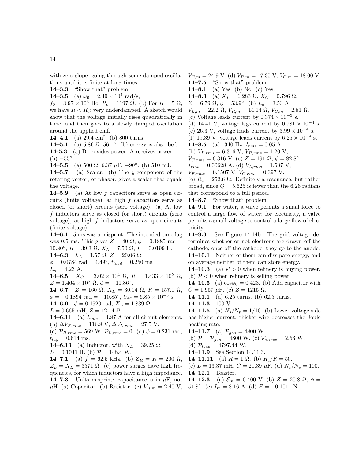tions until it is finite at long times. 14–3.3 "Show that" problem.

**14–3.5** (a)  $\omega_0 = 2.49 \times 10^4$  rad/s,

 $f_0 = 3.97 \times 10^3$  Hz,  $R_c = 1197$  Ω. (b) For  $R = 5$  Ω, we have  $R < R_c$ ; very underdamped. A sketch would show that the voltage initially rises quadratically in time, and then goes to a slowly damped oscillation around the applied emf.

14–4.1 (a)  $29.4 \text{ cm}^2$ . (b) 800 turns.

14–5.1 (a)  $5.86 \Omega$ ,  $56.1^\circ$ . (b) energy is absorbed. 14-5.3 (a) B provides power, A receives power.  $(b) -55^\circ$ .

14–5.5 (a) 500  $\Omega$ , 6.37  $\mu$ F, −90°. (b) 510 mJ.

14–5.7 (a) Scalar. (b) The y-component of the rotating vector, or phasor, gives a scalar that equals the voltage.

14–5.9 (a) At low  $f$  capacitors serve as open circuits (finite voltage), at high  $f$  capacitors serve as closed (or short) circuits (zero voltage). (a) At low f inductors serve as closed (or short) circuits (zero voltage), at high f inductors serve as open circuits (finite voltage).

14–6.1 5 ms was a misprint. The intended time lag was 0.5 ms. This gives  $Z = 40 \Omega$ ,  $\phi = 0.1885$  rad = 10.80°,  $R = 39.3$  Ω,  $X_L = 7.50$  Ω,  $L = 0.0199$  H. 14–6.3  $X_L = 1.57 \Omega$ ,  $Z = 20.06 \Omega$ ,

 $\phi = 0.0784 \text{ rad} = 4.49^{\circ}, t_{lead} = 0.250 \text{ ms},$ 

 $I_m = 4.23$  A.

14–6.5  $X_C = 3.02 \times 10^4 \Omega$ ,  $R = 1.433 \times 10^5 \Omega$ ,  $Z = 1.464 \times 10^5 \Omega, \phi = -11.86^{\circ}.$ 

14–6.7  $Z = 160 \Omega$ ,  $X_L = 30.14 \Omega$ ,  $R = 157.1 \Omega$ ,  $\phi = -0.1894 \text{ rad} = -10.85^{\circ}, t_{lag} = 6.85 \times 10^{-5} \text{ s}.$ 

**14–6.9**  $\phi = 0.1520 \text{ rad}, X_L = 1.839 \Omega,$ 

 $L = 0.665$  mH,  $Z = 12.14$   $\Omega$ .

**14–6.11** (a)  $I_{rms} = 4.87$  A for all circuit elements. (b)  $\Delta V_{R,rms} = 116.8 \text{ V}, \Delta V_{L,rms} = 27.5 \text{ V}.$ 

(c)  $\mathcal{P}_{R,rms} = 569 \text{ W}, \mathcal{P}_{L,rms} = 0.$  (d)  $\phi = 0.231 \text{ rad},$  $t_{lag} = 0.614$  ms.

14–6.13 (a) Inductor, with  $X_L = 39.25 \Omega$ ,

 $L = 0.1041$  H. (b)  $\overline{P} = 148.4$  W.

14–7.1 (a)  $f = 62.5$  kHz. (b)  $Z_R = R = 200 \Omega$ ,  $Z_L = X_L = 3571 \Omega$ . (c) power surges have high frequencies, for which inductors have a high impedance. 14–7.3 Units misprint: capacitance is in  $\mu$ F, not  $\mu$ H. (a) Capacitor. (b) Resistor. (c)  $V_{R,m} = 2.40 \text{ V}$ , 54.8°. (c)  $I_m = 8.16 \text{ A}$ . (d)  $F = -0.1011 \text{ N}$ .

 $V_{C,m} = 24.9$  V. (d)  $V_{R,m} = 17.35$  V,  $V_{C,m} = 18.00$  V. 14–7.5 "Show that" problem.

14–8.1 (a) Yes. (b) No. (c) Yes.

14–8.3 (a)  $X_L = 6.283 \Omega$ ,  $X_C = 0.796 \Omega$ ,

 $Z = 6.79 \Omega, \phi = 53.9^{\circ}.$  (b)  $I_m = 3.53 \text{ A},$ 

 $V_{L,m} = 22.2 \Omega, V_{R,m} = 14.14 \Omega, V_{C,m} = 2.81 \Omega.$ 

(c) Voltage leads current by  $0.374 \times 10^{-3}$  s.

(d) 14.41 V, voltage lags current by  $0.781 \times 10^{-4}$  s.

(e) 26.3 V, voltage leads current by  $3.99 \times 10^{-4}$  s.

(f) 19.39 V, voltage leads current by  $6.25 \times 10^{-4}$  s.

**14–8.5** (a) 1340 Hz,  $I_{rms} = 0.05$  A.

(b)  $V_{L,rms} = 6.316 \text{ V}, V_{R,rms} = 1.20 \text{ V},$ 

 $V_{C,rms} = 6.316 \text{ V. (c) } Z = 191 \Omega, \phi = 82.8^{\circ},$ 

 $I_{rms} = 0.00628$  A. (d)  $V_{L,rms} = 1.587$  V,

 $V_{R,rms} = 0.1507 \text{ V}, V_{C,rms} = 0.397 \text{ V}.$ 

(e)  $R_c = 252.6 \Omega$ . Definitely a resonance, but rather broad, since  $\mathcal{Q} = 5.625$  is fewer than the 6.26 radians that correspond to a full period.

14–8.7 "Show that" problem.

14–9.1 For water, a valve permits a small force to control a large flow of water; for electricity, a valve permits a small voltage to control a large flow of electricity.

14–9.3 See Figure 14.14b. The grid voltage determines whether or not electrons are drawn off the cathode; once off the cathode, they go to the anode. 14–10.1 Neither of them can dissipate energy, and on average neither of them can store energy.

14–10.3 (a)  $P > 0$  when refinery is buying power. (b)  $P < 0$  when refinery is selling power.

**14–10.5** (a)  $\cos\phi_0 = 0.423$ . (b) Add capacitor with  $C = 1.957 \mu$ F. (c)  $Z = 1215 \Omega$ .

14–11.1 (a) 6.25 turns. (b) 62.5 turns.

14–11.3 100 V.

**14–11.5** (a)  $N_s/N_p = 1/10$ . (b) Lower voltage side has higher current; thicker wire decreases the Joule heating rate.

14–11.7 (a)  $\mathcal{P}_{gen} = 4800 \text{ W}.$ 

(b) 
$$
P = P_{gen} = 4800
$$
 W. (c)  $P_{wires} = 2.56$  W.

(d)  $P_{load} = 4797.44$  W.

14–11.9 See Section 14.11.3.

**14–11.11** (a)  $R = 1 \Omega$ . (b)  $R_c/R = 50$ .

(c)  $L = 13.37 \text{ mH}, C = 21.39 \mu \text{F}.$  (d)  $N_s/N_p = 100$ . 14–12.1 Toaster.

**14–12.3** (a)  $\mathcal{E}_m = 0.400$  V. (b)  $Z = 20.8$   $\Omega$ ,  $\phi =$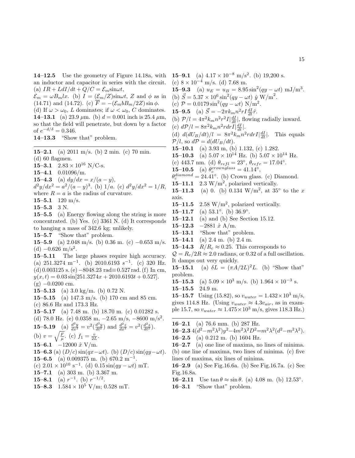14–12.5 Use the geometry of Figure 14.18a, with an inductor and capacitor in series with the circuit. (a)  $IR + LdI/dt + Q/C = \mathcal{E}_m \sin \omega t$ ,

 $\mathcal{E}_m = \omega B_m l x$ . (b)  $I = (\mathcal{E}_m/Z) \sin \omega t$ , Z and  $\phi$  as in (14.71) and (14.72). (c)  $\overline{F} = -(\mathcal{E}_m b B_m/2Z) \sin \phi$ . (d) If  $\omega > \omega_0$ , L dominates; if  $\omega < \omega_0$ , C dominates. **14–13.1** (a) 23.9  $\mu$ m. (b)  $d = 0.001$  inch is 25.4  $\mu$ m, so that the field will penetrate, but down by a factor

of  $e^{-d/\delta} = 0.346$ .

14–13.3 "Show that" problem.

15–2.1 (a) 2011 m/s. (b) 2 min. (c) 70 min. (d) 60 flagmen. 15–3.1  $2.83 \times 10^{16}$  N/C-s. 15–4.1 0.01096/m. 15–4.3 (a)  $dy/dx = x/(a - y)$ ,

 $d^2y/dx^2 = a^2/(a-y)^3$ . (b)  $1/a$ . (c)  $d^2y/dx^2 = 1/R$ , where  $R = a$  is the radius of curvature.

15–5.1  $120 \text{ m/s}$ .

 $15-5.3$  3 N.

15–5.5 (a) Energy flowing along the string is more concentrated. (b) Yes. (c) 3361 N. (d) It corresponds to hanging a mass of 342.6 kg; unlikely.

15–5.7 "Show that" problem.

15–5.9 (a) 2.048 m/s. (b) 0.36 m. (c) –0.653 m/s. (d)  $-0.626$  m/s<sup>2</sup>.

15–5.11 The large phases require high accuracy. (a)  $251.3274 \text{ m}^{-1}$ . (b)  $2010.6193 \text{ s}^{-1}$ . (c) 320 Hz. (d) 0.003125 s. (e)−8048.23 rad≡0.527 rad. (f) In cm,  $y(x, t) = 0.03 \sin[251.3274x + 2010.6193t + 0.527].$  $(g)$  –0.0200 cm.

15–5.13 (a) 3.0 kg/m. (b) 0.72 N.

15–5.15 (a) 147.3 m/s. (b) 170 cm and 85 cm. (c) 86.6 Hz and 173.3 Hz.

15–5.17 (a) 7.48 m. (b) 18.70 m. (c) 0.01282 s.

(d) 78.0 Hz. (e)  $0.0358$  m,  $-2.65$  m/s,  $-8600$  m/s<sup>2</sup>. **15–5.19** (a)  $\frac{d^2y}{dx^2} = v^2(\frac{d^2y}{dt^2})$  and  $\frac{d^2z}{dx^2} = v^2(\frac{d^2z}{dt^2})$ .

(b) 
$$
v = \sqrt{\frac{F}{\mu}}
$$
. (c)  $f_1 = \frac{v}{2L}$ .

15–6.1  $-12000 \hat{x}$  V/m.

**15–6.3** (a)  $(D/c) \sin(qx - \omega t)$ . (b)  $(D/c) \sin(qy - \omega t)$ . 15–6.5 (a)  $0.009375$  m. (b)  $670.2$  m<sup>-1</sup>.

(c)  $2.01 \times 10^{10} \text{ s}^{-1}$ . (d)  $0.15 \sin(qy - \omega t) \text{ mT}$ .

$$
15.71 \tbinom{10}{203} \tbinom{10}{2367} \tbinom{10}{2367}
$$

15–7.1 (a) 303 m. (b) 3.367 m.

**15–8.1** (a)  $r^{-1}$ . (b)  $r^{-1/2}$ .

15–8.3  $1.584 \times 10^5$  V/m; 0.528 mT.

**15–9.1** (a)  $4.17 \times 10^{-8}$  m/s<sup>2</sup>. (b) 19,200 s. (c)  $8 \times 10^{-4}$  m/s. (d) 7.68 m. **15–9.3** (a)  $u_E = u_B = 8.95 \sin^2(qy - \omega t) \text{ mJ/m}^3$ . (b)  $\vec{S} = 5.37 \times 10^6 \sin^2(qy - \omega t) \hat{y} W/m^2$ . (c)  $P = 0.0179 \sin^2(qy - \omega t) N/m^2$ . **15–9.5** (a)  $\vec{S} = -2\pi k_m n^2 r I \frac{dI}{dt} \hat{r}$ . (b)  $\mathcal{P}/l = 4\pi^2 k_m n^2 r^2 I \left| \frac{dI}{dt} \right|$ , flowing radially inward. (c)  $dP/l = 8\pi^2 k_m n^2 r dr I \left| \frac{dI}{dt} \right|$ . (d)  $d(dU_B/dt)/l = 8\pi^2 k_m n^2 r dr I \left| \frac{dI}{dt} \right|$ . This equals  $\mathcal{P}/l$ , so  $d\mathcal{P} = d(dU_B/dt)$ . 15–10.1 (a) 3.93 m, (b) 1.132, (c) 1.282. **15–10.3** (a)  $5.07 \times 10^{14}$  Hz. (b)  $5.07 \times 10^{14}$  Hz. (c) 443.7 nm. (d)  $\theta_{refl} = 23^{\circ}, \theta_{refr} = 17.04^{\circ}.$ **15–10.5** (a)  $\theta_c^{crownglass} = 41.14^{\circ}$ ,  $\theta_c^{diamond} = 24.41°$ . (b) Crown glass. (c) Diamond. 15–11.1 2.3  $\text{W/m}^2$ , polarized vertically. **15–11.3** (a) 0. (b) 0.134 W/m<sup>2</sup>, at 35° to the x axis. 15–11.5 2.58 W/m<sup>2</sup>, polarized vertically.

15–11.7 (a)  $53.1°$ . (b)  $36.9°$ .

15–12.1 (a) and (b) See Section 15.12.

15–12.3 –2881  $\hat{x}$  A/m.

15–13.1 "Show that" problem.

15–14.1 (a) 2.4 m. (b) 2.4 m.

15–14.3  $R/R_c \approx 0.25$ . This corresponds to

 $Q = R_c/2R \approx 2.0$  radians, or 0.32 of a full oscillation. It damps out very quickly.

**15–15.1** (a)  $\delta L = (\pi A/2L)^2 L$ . (b) "Show that" problem.

15–15.3 (a)  $5.09 \times 10^3$  m/s. (b)  $1.964 \times 10^{-3}$  s.

 $15-15.5$  24.9 m.

**15–15.7** Using (15.82), so  $v_{water} = 1.432 \times 10^3$  m/s, gives 114.8 Hz. (Using  $v_{water} \approx 4.3v_{air}$ , as in example 15.7, so  $v_{water} \approx 1.475 \times 10^3$  m/s, gives 118.3 Hz.)

16–2.1 (a) 76.6 mm. (b) 287 Hz.

$$
16-2.34(d^2-m^2\lambda^2)y^2-4m^2\lambda^2D^2=m^2\lambda^2(d^2-m^2\lambda^2).
$$

16–2.5 (a) 0.212 m. (b) 1604 Hz.

16–2.7 (a) one line of maxima, no lines of minima. (b) one line of maxima, two lines of minima. (c) five lines of maxima, six lines of minima.

16–2.9 (a) See Fig.16.6a. (b) See Fig.16.7a. (c) See Fig.16.8a.

**16–2.11** Use  $\tan \theta \approx \sin \theta$ . (a) 4.08 m. (b) 12.53°. 16–3.1 "Show that" problem.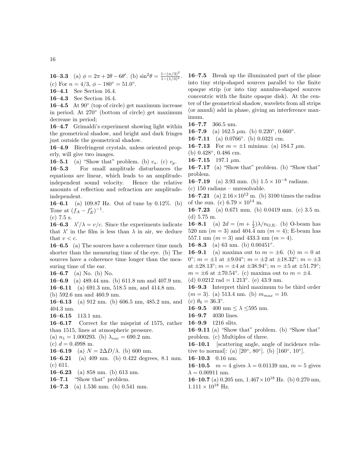**16–3.3** (a)  $\phi = 2\pi + 2\theta - 6\theta'$ . (b)  $\sin^2 \theta = \frac{1 - (n/3)^2}{1 - (1/3)^2}$ . (c) For  $n = 4/3$ ,  $\phi - 180^\circ = 51.0^\circ$ .

16–4.1 See Section 16.4.

16–4.3 See Section 16.4.

16–4.5 At  $90^\circ$  (top of circle) get maximum increase in period; At 270◦ (bottom of circle) get maximum decrease in period;

16–4.7 Grimaldi's experiment showing light within the geometrical shadow, and bright and dark fringes just outside the geometrical shadow.

16–4.9 Birefringent crystals, unless oriented properly, will give two images.

16–5.1 (a) "Show that" problem. (b)  $v_s$ . (c)  $v_p$ .

16–5.3 For small amplitude disturbances the equations are linear, which leads to an amplitudeindependent sound velocity. Hence the relative amounts of reflection and refraction are amplitudeindependent.

16–6.1 (a) 109.87 Hz. Out of tune by 0.12%. (b) Tone at  $(f_A - f'_E)^{-1}$ .

(c) 7.5 s.

**16–6.3**  $\lambda'/\lambda = v/c$ . Since the experiments indicate that  $\lambda'$  in the film is less than  $\lambda$  in air, we deduce that  $v < c$ .

16–6.5 (a) The sources have a coherence time much shorter than the measuring time of the eye. (b) The sources have a coherence time longer than the measuring time of the ear.

16–6.7 (a) No. (b) No.

16–6.9 (a) 489.44 nm. (b) 611.8 nm and 407.9 nm. 16–6.11 (a) 691.3 nm, 518.5 nm, and 414.8 nm. (b) 592.6 nm and 460.9 nm.

16–6.13 (a) 912 nm. (b) 606.5 nm, 485.2 nm, and 404.3 nm.

16–6.15 113.1 nm.

16–6.17 Correct for the misprint of 1575, rather than 1515, lines at atmospheric pressure.

(a)  $n_1 = 1.000293$ . (b)  $\lambda_{vac} = 690.2$  nm.

(c)  $d = 0.4998$  m.

**16–6.19** (a)  $N = 2\Delta D/\lambda$ . (b) 600 nm.

16–6.21 (a) 409 nm. (b) 0.422 degrees, 8.1 mm. (c) 611.

16–6.23 (a) 858 nm. (b) 613 nm.

16–7.1 "Show that" problem.

16–7.3 (a) 1.536 mm. (b) 0.541 mm.

16–7.5 Break up the illuminated part of the plane into tiny strip-shaped sources parallel to the finite opaque strip (or into tiny annulus-shaped sources concentric with the finite opaque disk). At the center of the geometrical shadow, wavelets from all strips (or annuli) add in phase, giving an interference maximum.

16–7.7 366.5 nm.

16–7.9 (a) 162.5  $\mu$ m. (b) 0.220°, 0.660°.

16–7.11 (a)  $0.0766^{\circ}$ . (b)  $0.0321$  cm.

16–7.13 For  $m = \pm 1$  minima: (a) 184.7  $\mu$ m.

(b) 0.428◦ , 0.486 cm.

16–7.15 197.1  $\mu$ m.

16–7.17 (a) "Show that" problem. (b) "Show that" problem.

**16–7.19** (a) 3.93 mm. (b)  $1.5 \times 10^{-8}$  radians.

(c) 150 radians – unresolvable.

**16–7.21** (a)  $2.16 \times 10^{12}$  m. (b) 3100 times the radius of the sun. (c)  $6.79 \times 10^{14}$  m.

16–7.23 (a) 0.671 mm. (b) 0.0419 mm. (c) 3.5 m. (d) 5.75 m.

**16–8.1** (a)  $2d = (m + \frac{1}{2})\lambda/n_{\text{O,E}}$ . (b) O-beam has 520 nm  $(m = 3)$  and 404.4 nm  $(m = 4)$ ; E-beam has 557.1 nm  $(m = 3)$  and 433.3 nm  $(m = 4)$ .

16–8.3 (a) 63 nm. (b)  $0.00451^\circ$ .

**16–9.1** (a) maxima out to  $m = \pm 6$ . (b)  $m = 0$  at 0°;  $m = \pm 1$  at  $\pm 9.04$ °;  $m = \pm 2$  at  $\pm 18.32$ °;  $m = \pm 3$ at  $\pm 28.13^{\circ}$ ;  $m = \pm 4$  at  $\pm 38.94^{\circ}$ ;  $m = \pm 5$  at  $\pm 51.79^{\circ}$ ;  $m = \pm 6$  at  $\pm 70.54$ °. (c) maxima out to  $m = \pm 4$ .

(d)  $0.0212$  rad =  $1.213$ °. (e) 43.9 nm.

16–9.3 Interpret third maximum to be third order  $(m = 3)$ . (a) 513.4 nm. (b)  $m_{max} = 10$ .

(c)  $\theta_6 = 36.3^\circ$ .

**16–9.5** 400 nm  $\leq \lambda \leq 595$  nm.

16–9.7 4030 lines.

16–9.9 1216 slits.

16–9.11 (a) "Show that" problem. (b) "Show that" problem. (c) Multiples of three.

16–10.1 [scattering angle, angle of incidence relative to normal]: (a)  $[20^{\circ}, 80^{\circ}]$ . (b)  $[160^{\circ}, 10^{\circ}]$ .

16–10.3 0.16 nm.

**16–10.5**  $m = 4$  gives  $\lambda = 0.01139$  nm,  $m = 5$  gives  $\lambda = 0.00911$  nm.

16–10.7 (a) 0.205 nm,  $1.467 \times 10^{18}$  Hz. (b) 0.270 nm,  $1.111 \times 10^{18}$  Hz.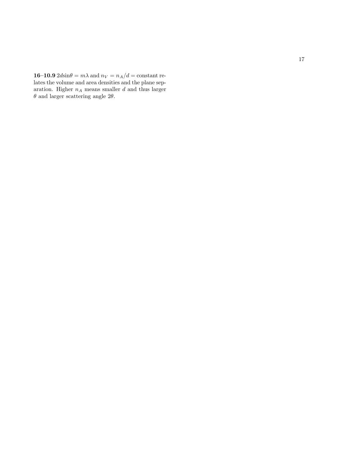**16–10.9**  $2d\sin\theta = m\lambda$  and  $n_V = n_A/d = \text{constant}$  relates the volume and area densities and the plane separation. Higher  $n_A$  means smaller  $d$  and thus larger  $\theta$  and larger scattering angle 2 $\theta$ .